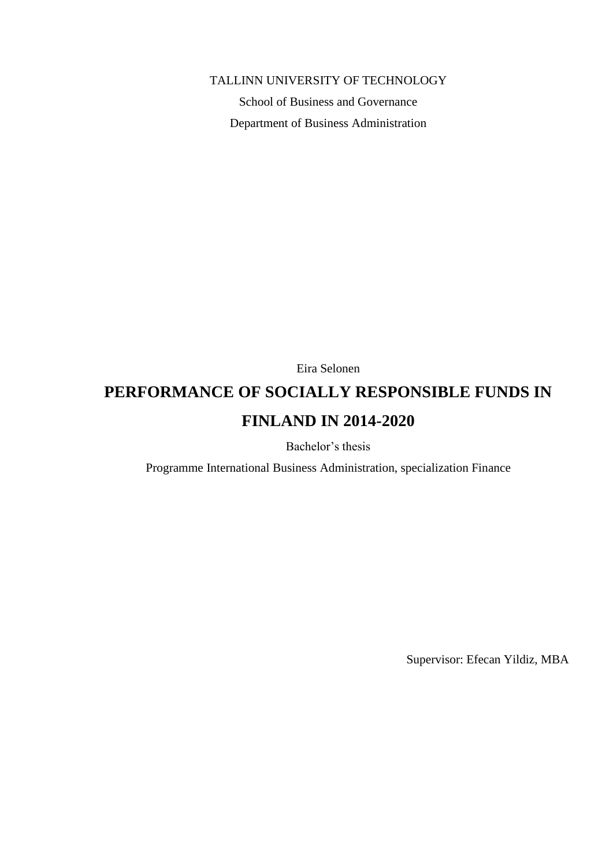TALLINN UNIVERSITY OF TECHNOLOGY

School of Business and Governance Department of Business Administration

Eira Selonen

# **PERFORMANCE OF SOCIALLY RESPONSIBLE FUNDS IN FINLAND IN 2014-2020**

Bachelor's thesis

Programme International Business Administration, specialization Finance

Supervisor: Efecan Yildiz, MBA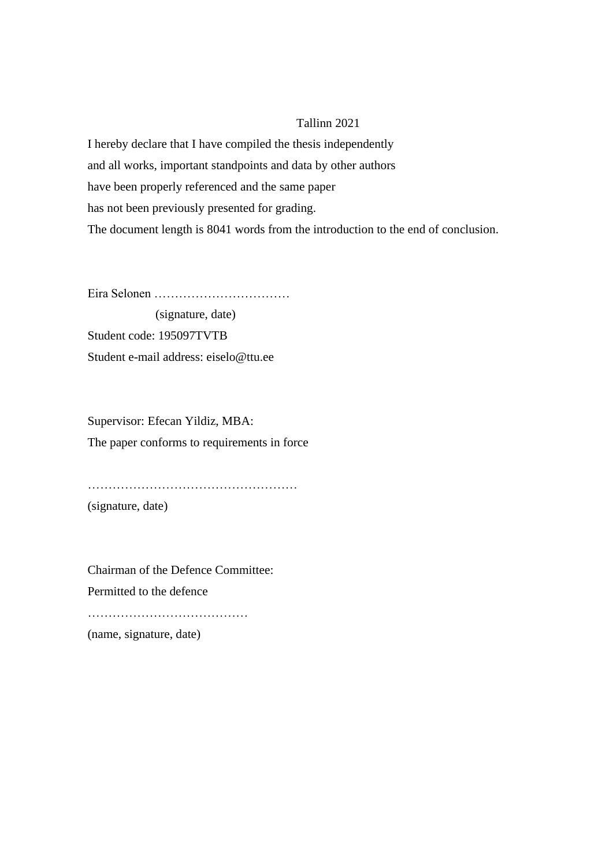### Tallinn 2021

I hereby declare that I have compiled the thesis independently and all works, important standpoints and data by other authors have been properly referenced and the same paper has not been previously presented for grading. The document length is 8041 words from the introduction to the end of conclusion.

Eira Selonen ……………………………

 (signature, date) Student code: 195097TVTB Student e-mail address: eiselo@ttu.ee

Supervisor: Efecan Yildiz, MBA: The paper conforms to requirements in force

……………………………………………

(signature, date)

Chairman of the Defence Committee: Permitted to the defence

…………………………………………

(name, signature, date)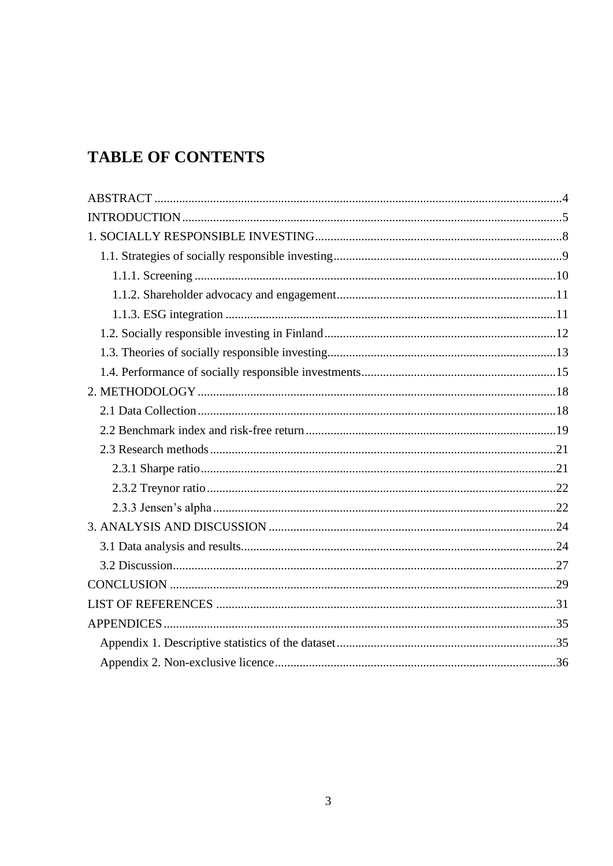# **TABLE OF CONTENTS**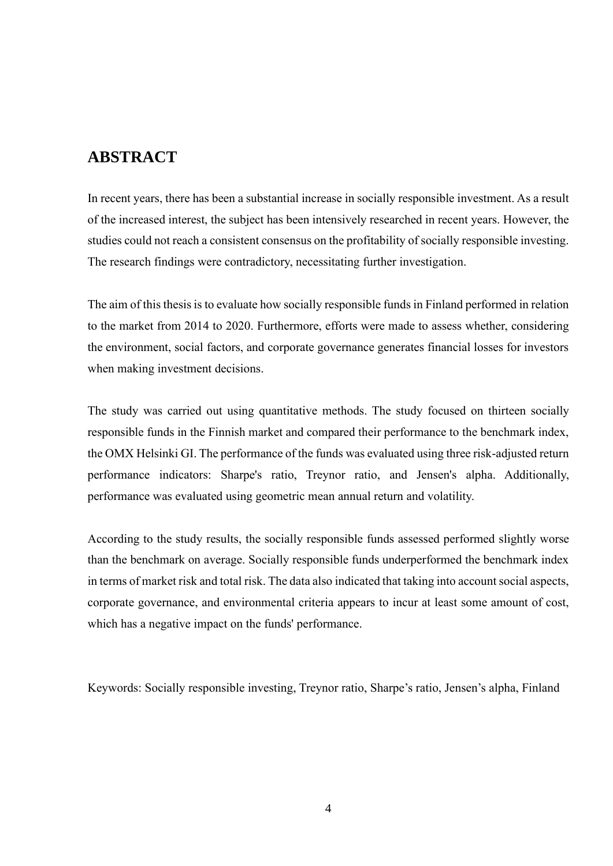# <span id="page-3-0"></span>**ABSTRACT**

In recent years, there has been a substantial increase in socially responsible investment. As a result of the increased interest, the subject has been intensively researched in recent years. However, the studies could not reach a consistent consensus on the profitability of socially responsible investing. The research findings were contradictory, necessitating further investigation.

The aim of this thesis is to evaluate how socially responsible funds in Finland performed in relation to the market from 2014 to 2020. Furthermore, efforts were made to assess whether, considering the environment, social factors, and corporate governance generates financial losses for investors when making investment decisions.

The study was carried out using quantitative methods. The study focused on thirteen socially responsible funds in the Finnish market and compared their performance to the benchmark index, the OMX Helsinki GI. The performance of the funds was evaluated using three risk-adjusted return performance indicators: Sharpe's ratio, Treynor ratio, and Jensen's alpha. Additionally, performance was evaluated using geometric mean annual return and volatility.

According to the study results, the socially responsible funds assessed performed slightly worse than the benchmark on average. Socially responsible funds underperformed the benchmark index in terms of market risk and total risk. The data also indicated that taking into account social aspects, corporate governance, and environmental criteria appears to incur at least some amount of cost, which has a negative impact on the funds' performance.

Keywords: Socially responsible investing, Treynor ratio, Sharpe's ratio, Jensen's alpha, Finland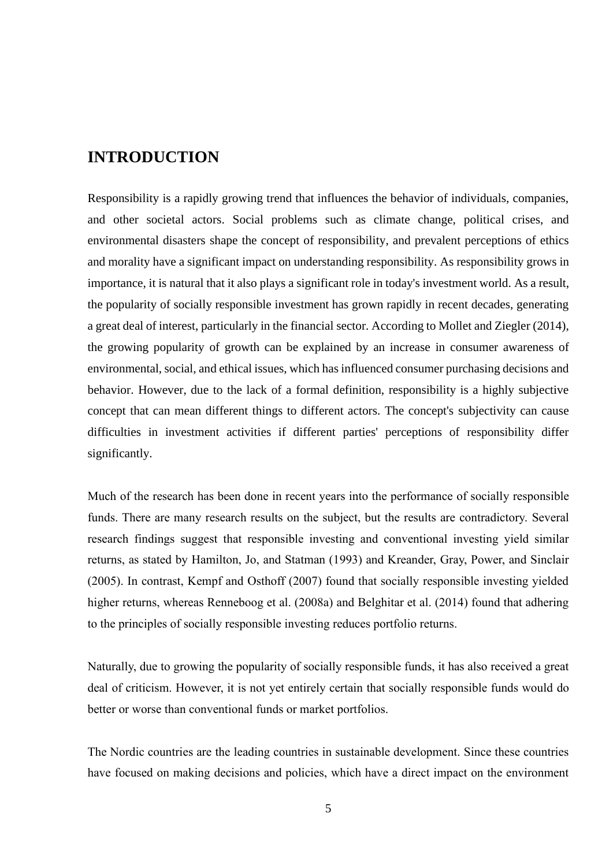# <span id="page-4-0"></span>**INTRODUCTION**

Responsibility is a rapidly growing trend that influences the behavior of individuals, companies, and other societal actors. Social problems such as climate change, political crises, and environmental disasters shape the concept of responsibility, and prevalent perceptions of ethics and morality have a significant impact on understanding responsibility. As responsibility grows in importance, it is natural that it also plays a significant role in today's investment world. As a result, the popularity of socially responsible investment has grown rapidly in recent decades, generating a great deal of interest, particularly in the financial sector. According to Mollet and Ziegler (2014), the growing popularity of growth can be explained by an increase in consumer awareness of environmental, social, and ethical issues, which has influenced consumer purchasing decisions and behavior. However, due to the lack of a formal definition, responsibility is a highly subjective concept that can mean different things to different actors. The concept's subjectivity can cause difficulties in investment activities if different parties' perceptions of responsibility differ significantly.

Much of the research has been done in recent years into the performance of socially responsible funds. There are many research results on the subject, but the results are contradictory. Several research findings suggest that responsible investing and conventional investing yield similar returns, as stated by Hamilton, Jo, and Statman (1993) and Kreander, Gray, Power, and Sinclair (2005). In contrast, Kempf and Osthoff (2007) found that socially responsible investing yielded higher returns, whereas Renneboog et al. (2008a) and Belghitar et al. (2014) found that adhering to the principles of socially responsible investing reduces portfolio returns.

Naturally, due to growing the popularity of socially responsible funds, it has also received a great deal of criticism. However, it is not yet entirely certain that socially responsible funds would do better or worse than conventional funds or market portfolios.

The Nordic countries are the leading countries in sustainable development. Since these countries have focused on making decisions and policies, which have a direct impact on the environment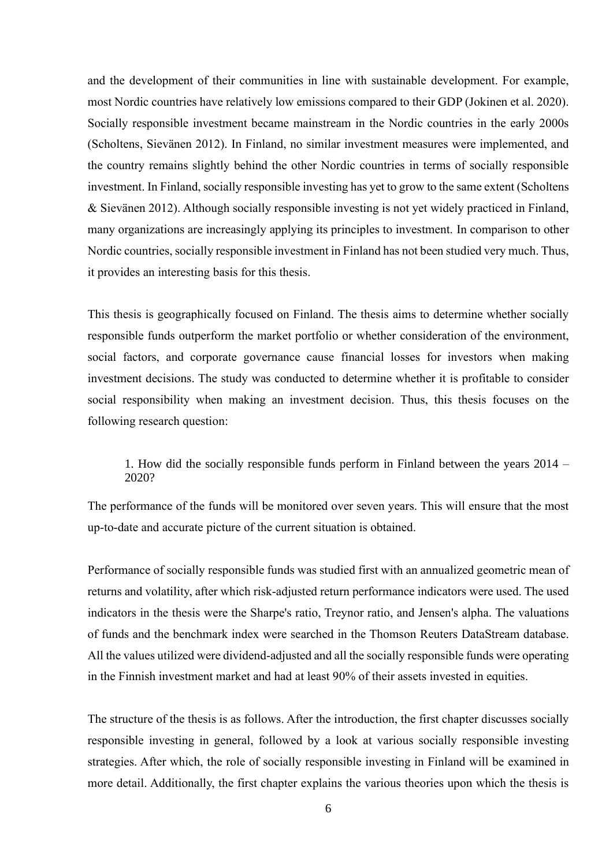and the development of their communities in line with sustainable development. For example, most Nordic countries have relatively low emissions compared to their GDP (Jokinen et al. 2020). Socially responsible investment became mainstream in the Nordic countries in the early 2000s (Scholtens, Sievänen 2012). In Finland, no similar investment measures were implemented, and the country remains slightly behind the other Nordic countries in terms of socially responsible investment. In Finland, socially responsible investing has yet to grow to the same extent (Scholtens & Sievänen 2012). Although socially responsible investing is not yet widely practiced in Finland, many organizations are increasingly applying its principles to investment. In comparison to other Nordic countries, socially responsible investment in Finland has not been studied very much. Thus, it provides an interesting basis for this thesis.

This thesis is geographically focused on Finland. The thesis aims to determine whether socially responsible funds outperform the market portfolio or whether consideration of the environment, social factors, and corporate governance cause financial losses for investors when making investment decisions. The study was conducted to determine whether it is profitable to consider social responsibility when making an investment decision. Thus, this thesis focuses on the following research question:

1. How did the socially responsible funds perform in Finland between the years 2014 – 2020?

The performance of the funds will be monitored over seven years. This will ensure that the most up-to-date and accurate picture of the current situation is obtained.

Performance of socially responsible funds was studied first with an annualized geometric mean of returns and volatility, after which risk-adjusted return performance indicators were used. The used indicators in the thesis were the Sharpe's ratio, Treynor ratio, and Jensen's alpha. The valuations of funds and the benchmark index were searched in the Thomson Reuters DataStream database. All the values utilized were dividend-adjusted and all the socially responsible funds were operating in the Finnish investment market and had at least 90% of their assets invested in equities.

The structure of the thesis is as follows. After the introduction, the first chapter discusses socially responsible investing in general, followed by a look at various socially responsible investing strategies. After which, the role of socially responsible investing in Finland will be examined in more detail. Additionally, the first chapter explains the various theories upon which the thesis is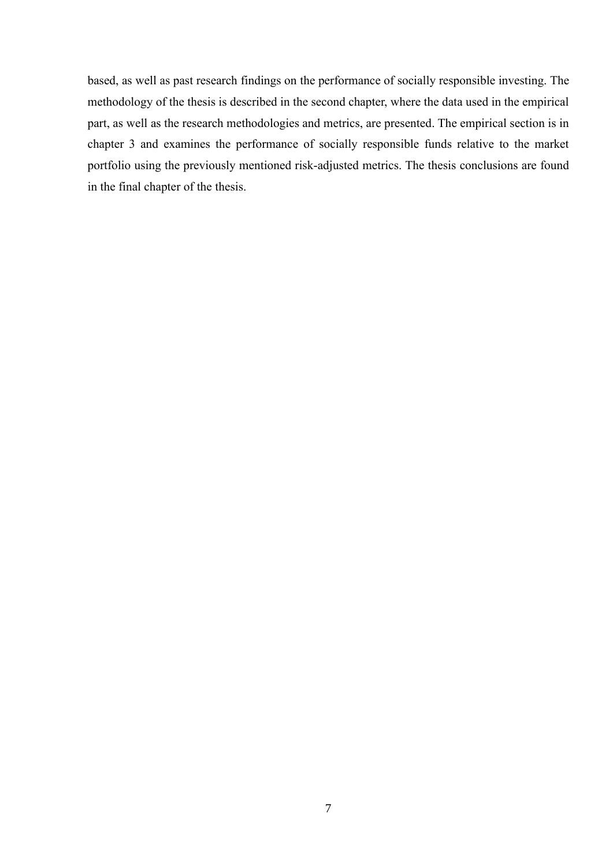based, as well as past research findings on the performance of socially responsible investing. The methodology of the thesis is described in the second chapter, where the data used in the empirical part, as well as the research methodologies and metrics, are presented. The empirical section is in chapter 3 and examines the performance of socially responsible funds relative to the market portfolio using the previously mentioned risk-adjusted metrics. The thesis conclusions are found in the final chapter of the thesis.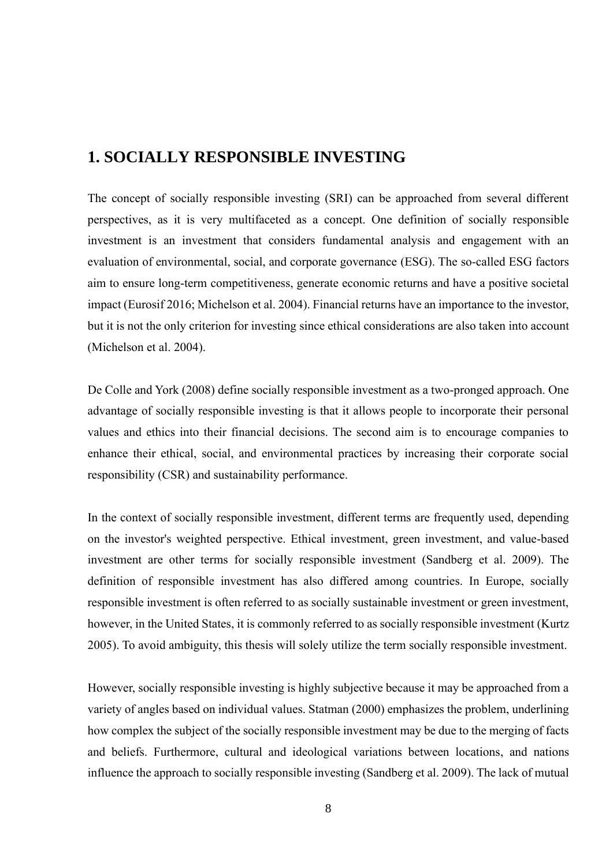# <span id="page-7-0"></span>**1. SOCIALLY RESPONSIBLE INVESTING**

The concept of socially responsible investing (SRI) can be approached from several different perspectives, as it is very multifaceted as a concept. One definition of socially responsible investment is an investment that considers fundamental analysis and engagement with an evaluation of environmental, social, and corporate governance (ESG). The so-called ESG factors aim to ensure long-term competitiveness, generate economic returns and have a positive societal impact (Eurosif 2016; Michelson et al. 2004). Financial returns have an importance to the investor, but it is not the only criterion for investing since ethical considerations are also taken into account (Michelson et al. 2004).

De Colle and York (2008) define socially responsible investment as a two-pronged approach. One advantage of socially responsible investing is that it allows people to incorporate their personal values and ethics into their financial decisions. The second aim is to encourage companies to enhance their ethical, social, and environmental practices by increasing their corporate social responsibility (CSR) and sustainability performance.

In the context of socially responsible investment, different terms are frequently used, depending on the investor's weighted perspective. Ethical investment, green investment, and value-based investment are other terms for socially responsible investment (Sandberg et al. 2009). The definition of responsible investment has also differed among countries. In Europe, socially responsible investment is often referred to as socially sustainable investment or green investment, however, in the United States, it is commonly referred to as socially responsible investment (Kurtz 2005). To avoid ambiguity, this thesis will solely utilize the term socially responsible investment.

However, socially responsible investing is highly subjective because it may be approached from a variety of angles based on individual values. Statman (2000) emphasizes the problem, underlining how complex the subject of the socially responsible investment may be due to the merging of facts and beliefs. Furthermore, cultural and ideological variations between locations, and nations influence the approach to socially responsible investing (Sandberg et al. 2009). The lack of mutual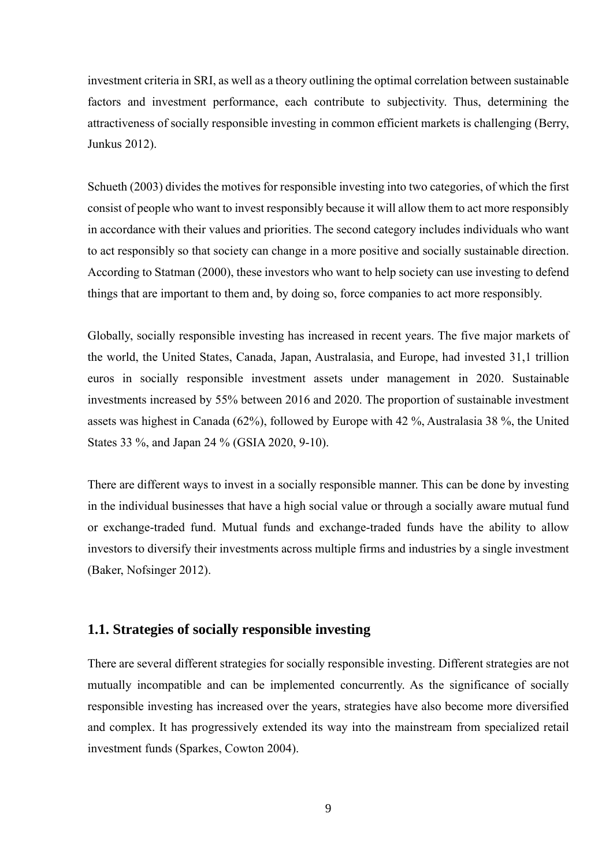investment criteria in SRI, as well as a theory outlining the optimal correlation between sustainable factors and investment performance, each contribute to subjectivity. Thus, determining the attractiveness of socially responsible investing in common efficient markets is challenging (Berry, Junkus 2012).

Schueth (2003) divides the motives for responsible investing into two categories, of which the first consist of people who want to invest responsibly because it will allow them to act more responsibly in accordance with their values and priorities. The second category includes individuals who want to act responsibly so that society can change in a more positive and socially sustainable direction. According to Statman (2000), these investors who want to help society can use investing to defend things that are important to them and, by doing so, force companies to act more responsibly.

Globally, socially responsible investing has increased in recent years. The five major markets of the world, the United States, Canada, Japan, Australasia, and Europe, had invested 31,1 trillion euros in socially responsible investment assets under management in 2020. Sustainable investments increased by 55% between 2016 and 2020. The proportion of sustainable investment assets was highest in Canada (62%), followed by Europe with 42 %, Australasia 38 %, the United States 33 %, and Japan 24 % (GSIA 2020, 9-10).

There are different ways to invest in a socially responsible manner. This can be done by investing in the individual businesses that have a high social value or through a socially aware mutual fund or exchange-traded fund. Mutual funds and exchange-traded funds have the ability to allow investors to diversify their investments across multiple firms and industries by a single investment (Baker, Nofsinger 2012).

### <span id="page-8-0"></span>**1.1. Strategies of socially responsible investing**

There are several different strategies for socially responsible investing. Different strategies are not mutually incompatible and can be implemented concurrently. As the significance of socially responsible investing has increased over the years, strategies have also become more diversified and complex. It has progressively extended its way into the mainstream from specialized retail investment funds (Sparkes, Cowton 2004).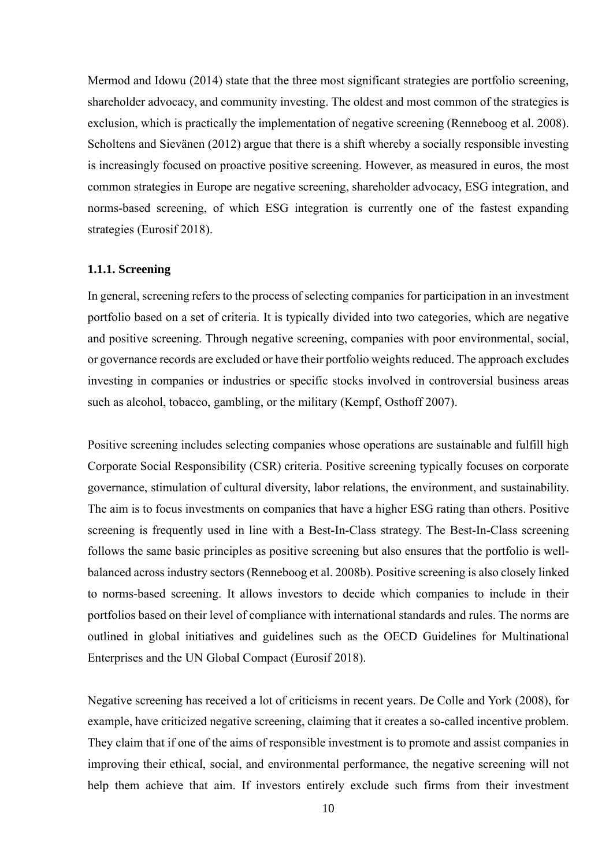Mermod and Idowu (2014) state that the three most significant strategies are portfolio screening, shareholder advocacy, and community investing. The oldest and most common of the strategies is exclusion, which is practically the implementation of negative screening (Renneboog et al. 2008). Scholtens and Sievänen (2012) argue that there is a shift whereby a socially responsible investing is increasingly focused on proactive positive screening. However, as measured in euros, the most common strategies in Europe are negative screening, shareholder advocacy, ESG integration, and norms-based screening, of which ESG integration is currently one of the fastest expanding strategies (Eurosif 2018).

#### <span id="page-9-0"></span>**1.1.1. Screening**

In general, screening refers to the process of selecting companies for participation in an investment portfolio based on a set of criteria. It is typically divided into two categories, which are negative and positive screening. Through negative screening, companies with poor environmental, social, or governance records are excluded or have their portfolio weights reduced. The approach excludes investing in companies or industries or specific stocks involved in controversial business areas such as alcohol, tobacco, gambling, or the military (Kempf, Osthoff 2007).

Positive screening includes selecting companies whose operations are sustainable and fulfill high Corporate Social Responsibility (CSR) criteria. Positive screening typically focuses on corporate governance, stimulation of cultural diversity, labor relations, the environment, and sustainability. The aim is to focus investments on companies that have a higher ESG rating than others. Positive screening is frequently used in line with a Best-In-Class strategy. The Best-In-Class screening follows the same basic principles as positive screening but also ensures that the portfolio is wellbalanced across industry sectors (Renneboog et al. 2008b). Positive screening is also closely linked to norms-based screening. It allows investors to decide which companies to include in their portfolios based on their level of compliance with international standards and rules. The norms are outlined in global initiatives and guidelines such as the OECD Guidelines for Multinational Enterprises and the UN Global Compact (Eurosif 2018).

Negative screening has received a lot of criticisms in recent years. De Colle and York (2008), for example, have criticized negative screening, claiming that it creates a so-called incentive problem. They claim that if one of the aims of responsible investment is to promote and assist companies in improving their ethical, social, and environmental performance, the negative screening will not help them achieve that aim. If investors entirely exclude such firms from their investment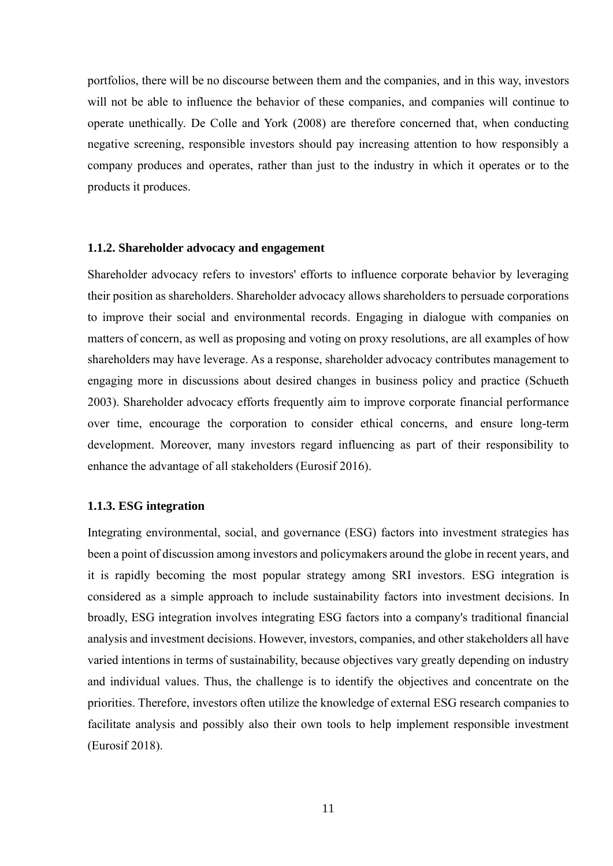portfolios, there will be no discourse between them and the companies, and in this way, investors will not be able to influence the behavior of these companies, and companies will continue to operate unethically. De Colle and York (2008) are therefore concerned that, when conducting negative screening, responsible investors should pay increasing attention to how responsibly a company produces and operates, rather than just to the industry in which it operates or to the products it produces.

#### <span id="page-10-0"></span>**1.1.2. Shareholder advocacy and engagement**

Shareholder advocacy refers to investors' efforts to influence corporate behavior by leveraging their position as shareholders. Shareholder advocacy allows shareholders to persuade corporations to improve their social and environmental records. Engaging in dialogue with companies on matters of concern, as well as proposing and voting on proxy resolutions, are all examples of how shareholders may have leverage. As a response, shareholder advocacy contributes management to engaging more in discussions about desired changes in business policy and practice (Schueth 2003). Shareholder advocacy efforts frequently aim to improve corporate financial performance over time, encourage the corporation to consider ethical concerns, and ensure long-term development. Moreover, many investors regard influencing as part of their responsibility to enhance the advantage of all stakeholders (Eurosif 2016).

#### <span id="page-10-1"></span>**1.1.3. ESG integration**

Integrating environmental, social, and governance (ESG) factors into investment strategies has been a point of discussion among investors and policymakers around the globe in recent years, and it is rapidly becoming the most popular strategy among SRI investors. ESG integration is considered as a simple approach to include sustainability factors into investment decisions. In broadly, ESG integration involves integrating ESG factors into a company's traditional financial analysis and investment decisions. However, investors, companies, and other stakeholders all have varied intentions in terms of sustainability, because objectives vary greatly depending on industry and individual values. Thus, the challenge is to identify the objectives and concentrate on the priorities. Therefore, investors often utilize the knowledge of external ESG research companies to facilitate analysis and possibly also their own tools to help implement responsible investment (Eurosif 2018).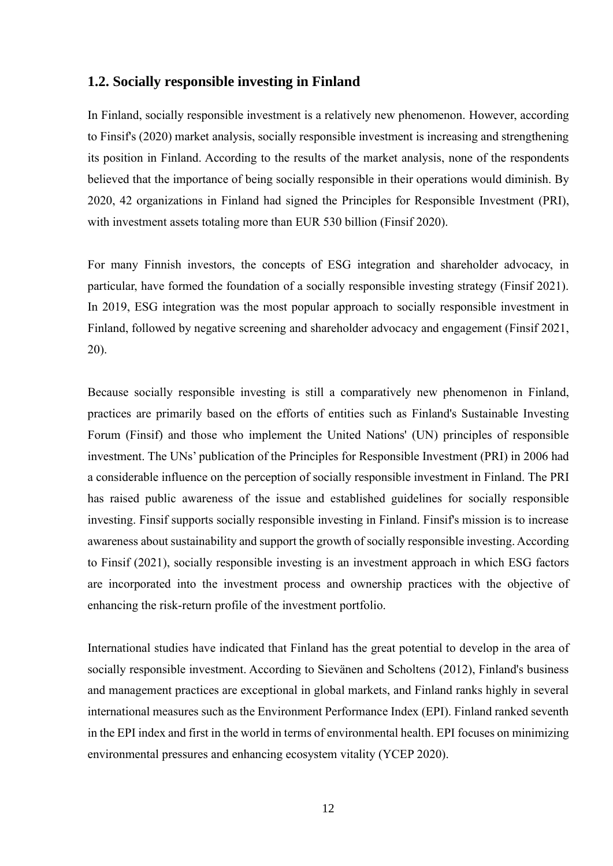#### <span id="page-11-0"></span>**1.2. Socially responsible investing in Finland**

In Finland, socially responsible investment is a relatively new phenomenon. However, according to Finsif's (2020) market analysis, socially responsible investment is increasing and strengthening its position in Finland. According to the results of the market analysis, none of the respondents believed that the importance of being socially responsible in their operations would diminish. By 2020, 42 organizations in Finland had signed the Principles for Responsible Investment (PRI), with investment assets totaling more than EUR 530 billion (Finsif 2020).

For many Finnish investors, the concepts of ESG integration and shareholder advocacy, in particular, have formed the foundation of a socially responsible investing strategy (Finsif 2021). In 2019, ESG integration was the most popular approach to socially responsible investment in Finland, followed by negative screening and shareholder advocacy and engagement (Finsif 2021, 20).

Because socially responsible investing is still a comparatively new phenomenon in Finland, practices are primarily based on the efforts of entities such as Finland's Sustainable Investing Forum (Finsif) and those who implement the United Nations' (UN) principles of responsible investment. The UNs' publication of the Principles for Responsible Investment (PRI) in 2006 had a considerable influence on the perception of socially responsible investment in Finland. The PRI has raised public awareness of the issue and established guidelines for socially responsible investing. Finsif supports socially responsible investing in Finland. Finsif's mission is to increase awareness about sustainability and support the growth of socially responsible investing. According to Finsif (2021), socially responsible investing is an investment approach in which ESG factors are incorporated into the investment process and ownership practices with the objective of enhancing the risk-return profile of the investment portfolio.

International studies have indicated that Finland has the great potential to develop in the area of socially responsible investment. According to Sievänen and Scholtens (2012), Finland's business and management practices are exceptional in global markets, and Finland ranks highly in several international measures such as the Environment Performance Index (EPI). Finland ranked seventh in the EPI index and first in the world in terms of environmental health. EPI focuses on minimizing environmental pressures and enhancing ecosystem vitality (YCEP 2020).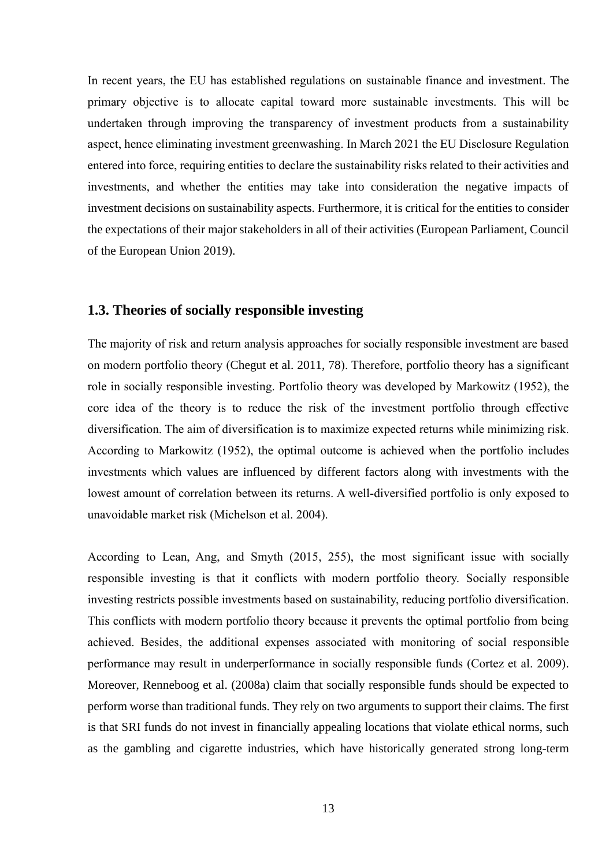In recent years, the EU has established regulations on sustainable finance and investment. The primary objective is to allocate capital toward more sustainable investments. This will be undertaken through improving the transparency of investment products from a sustainability aspect, hence eliminating investment greenwashing. In March 2021 the EU Disclosure Regulation entered into force, requiring entities to declare the sustainability risks related to their activities and investments, and whether the entities may take into consideration the negative impacts of investment decisions on sustainability aspects. Furthermore, it is critical for the entities to consider the expectations of their major stakeholders in all of their activities (European Parliament, Council of the European Union 2019).

### <span id="page-12-0"></span>**1.3. Theories of socially responsible investing**

The majority of risk and return analysis approaches for socially responsible investment are based on modern portfolio theory (Chegut et al. 2011, 78). Therefore, portfolio theory has a significant role in socially responsible investing. Portfolio theory was developed by Markowitz (1952), the core idea of the theory is to reduce the risk of the investment portfolio through effective diversification. The aim of diversification is to maximize expected returns while minimizing risk. According to Markowitz (1952), the optimal outcome is achieved when the portfolio includes investments which values are influenced by different factors along with investments with the lowest amount of correlation between its returns. A well-diversified portfolio is only exposed to unavoidable market risk (Michelson et al. 2004).

According to Lean, Ang, and Smyth (2015, 255), the most significant issue with socially responsible investing is that it conflicts with modern portfolio theory. Socially responsible investing restricts possible investments based on sustainability, reducing portfolio diversification. This conflicts with modern portfolio theory because it prevents the optimal portfolio from being achieved. Besides, the additional expenses associated with monitoring of social responsible performance may result in underperformance in socially responsible funds (Cortez et al. 2009). Moreover, Renneboog et al. (2008a) claim that socially responsible funds should be expected to perform worse than traditional funds. They rely on two arguments to support their claims. The first is that SRI funds do not invest in financially appealing locations that violate ethical norms, such as the gambling and cigarette industries, which have historically generated strong long-term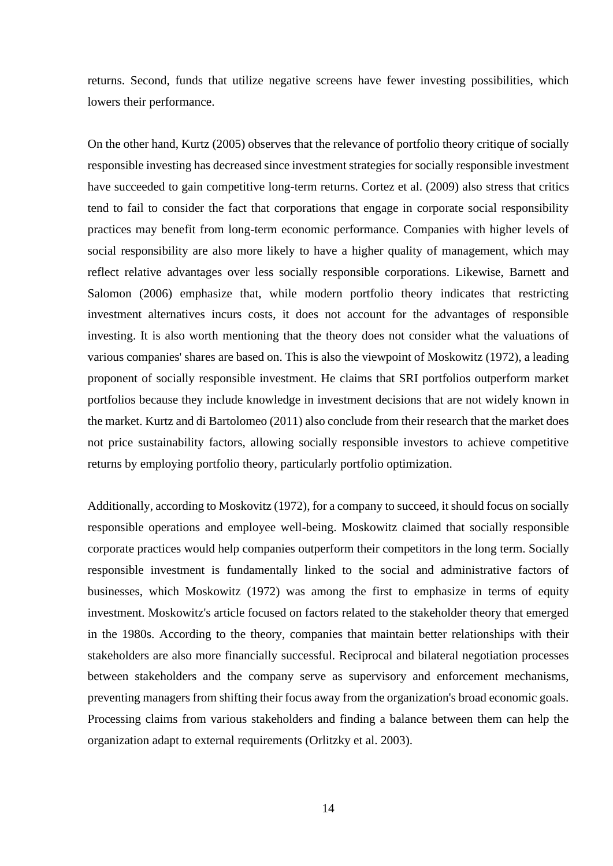returns. Second, funds that utilize negative screens have fewer investing possibilities, which lowers their performance.

On the other hand, Kurtz (2005) observes that the relevance of portfolio theory critique of socially responsible investing has decreased since investment strategies for socially responsible investment have succeeded to gain competitive long-term returns. Cortez et al. (2009) also stress that critics tend to fail to consider the fact that corporations that engage in corporate social responsibility practices may benefit from long-term economic performance. Companies with higher levels of social responsibility are also more likely to have a higher quality of management, which may reflect relative advantages over less socially responsible corporations. Likewise, Barnett and Salomon (2006) emphasize that, while modern portfolio theory indicates that restricting investment alternatives incurs costs, it does not account for the advantages of responsible investing. It is also worth mentioning that the theory does not consider what the valuations of various companies' shares are based on. This is also the viewpoint of Moskowitz (1972), a leading proponent of socially responsible investment. He claims that SRI portfolios outperform market portfolios because they include knowledge in investment decisions that are not widely known in the market. Kurtz and di Bartolomeo (2011) also conclude from their research that the market does not price sustainability factors, allowing socially responsible investors to achieve competitive returns by employing portfolio theory, particularly portfolio optimization.

Additionally, according to Moskovitz (1972), for a company to succeed, it should focus on socially responsible operations and employee well-being. Moskowitz claimed that socially responsible corporate practices would help companies outperform their competitors in the long term. Socially responsible investment is fundamentally linked to the social and administrative factors of businesses, which Moskowitz (1972) was among the first to emphasize in terms of equity investment. Moskowitz's article focused on factors related to the stakeholder theory that emerged in the 1980s. According to the theory, companies that maintain better relationships with their stakeholders are also more financially successful. Reciprocal and bilateral negotiation processes between stakeholders and the company serve as supervisory and enforcement mechanisms, preventing managers from shifting their focus away from the organization's broad economic goals. Processing claims from various stakeholders and finding a balance between them can help the organization adapt to external requirements (Orlitzky et al. 2003).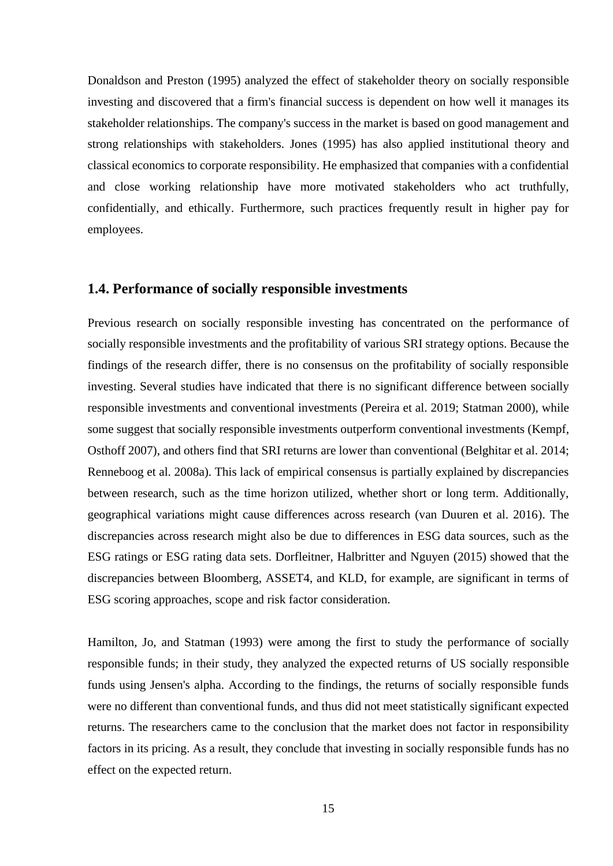Donaldson and Preston (1995) analyzed the effect of stakeholder theory on socially responsible investing and discovered that a firm's financial success is dependent on how well it manages its stakeholder relationships. The company's success in the market is based on good management and strong relationships with stakeholders. Jones (1995) has also applied institutional theory and classical economics to corporate responsibility. He emphasized that companies with a confidential and close working relationship have more motivated stakeholders who act truthfully, confidentially, and ethically. Furthermore, such practices frequently result in higher pay for employees.

### <span id="page-14-0"></span>**1.4. Performance of socially responsible investments**

Previous research on socially responsible investing has concentrated on the performance of socially responsible investments and the profitability of various SRI strategy options. Because the findings of the research differ, there is no consensus on the profitability of socially responsible investing. Several studies have indicated that there is no significant difference between socially responsible investments and conventional investments (Pereira et al. 2019; Statman 2000), while some suggest that socially responsible investments outperform conventional investments (Kempf, Osthoff 2007), and others find that SRI returns are lower than conventional (Belghitar et al. 2014; Renneboog et al. 2008a). This lack of empirical consensus is partially explained by discrepancies between research, such as the time horizon utilized, whether short or long term. Additionally, geographical variations might cause differences across research (van Duuren et al. 2016). The discrepancies across research might also be due to differences in ESG data sources, such as the ESG ratings or ESG rating data sets. Dorfleitner, Halbritter and Nguyen (2015) showed that the discrepancies between Bloomberg, ASSET4, and KLD, for example, are significant in terms of ESG scoring approaches, scope and risk factor consideration.

Hamilton, Jo, and Statman (1993) were among the first to study the performance of socially responsible funds; in their study, they analyzed the expected returns of US socially responsible funds using Jensen's alpha. According to the findings, the returns of socially responsible funds were no different than conventional funds, and thus did not meet statistically significant expected returns. The researchers came to the conclusion that the market does not factor in responsibility factors in its pricing. As a result, they conclude that investing in socially responsible funds has no effect on the expected return.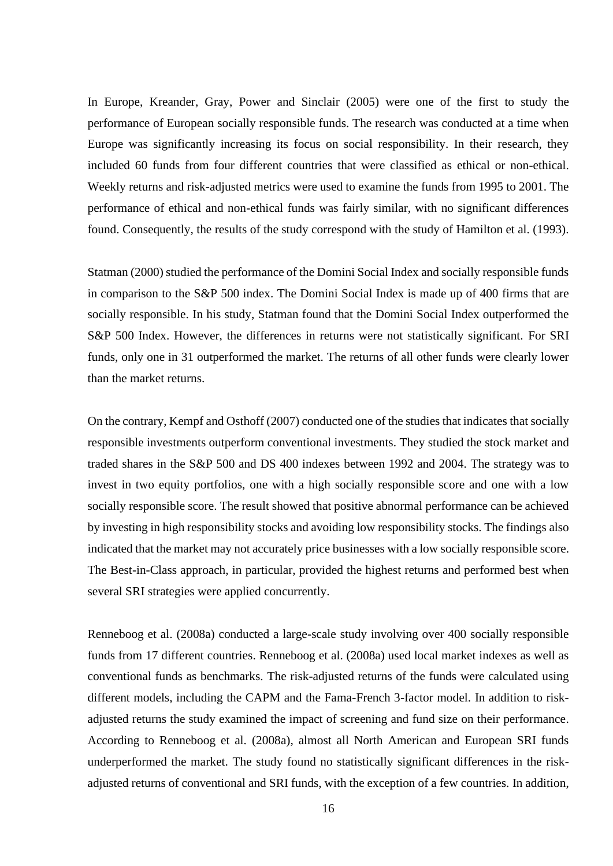In Europe, Kreander, Gray, Power and Sinclair (2005) were one of the first to study the performance of European socially responsible funds. The research was conducted at a time when Europe was significantly increasing its focus on social responsibility. In their research, they included 60 funds from four different countries that were classified as ethical or non-ethical. Weekly returns and risk-adjusted metrics were used to examine the funds from 1995 to 2001. The performance of ethical and non-ethical funds was fairly similar, with no significant differences found. Consequently, the results of the study correspond with the study of Hamilton et al. (1993).

Statman (2000) studied the performance of the Domini Social Index and socially responsible funds in comparison to the S&P 500 index. The Domini Social Index is made up of 400 firms that are socially responsible. In his study, Statman found that the Domini Social Index outperformed the S&P 500 Index. However, the differences in returns were not statistically significant. For SRI funds, only one in 31 outperformed the market. The returns of all other funds were clearly lower than the market returns.

On the contrary, Kempf and Osthoff (2007) conducted one of the studies that indicates that socially responsible investments outperform conventional investments. They studied the stock market and traded shares in the S&P 500 and DS 400 indexes between 1992 and 2004. The strategy was to invest in two equity portfolios, one with a high socially responsible score and one with a low socially responsible score. The result showed that positive abnormal performance can be achieved by investing in high responsibility stocks and avoiding low responsibility stocks. The findings also indicated that the market may not accurately price businesses with a low socially responsible score. The Best-in-Class approach, in particular, provided the highest returns and performed best when several SRI strategies were applied concurrently.

Renneboog et al. (2008a) conducted a large-scale study involving over 400 socially responsible funds from 17 different countries. Renneboog et al. (2008a) used local market indexes as well as conventional funds as benchmarks. The risk-adjusted returns of the funds were calculated using different models, including the CAPM and the Fama-French 3-factor model. In addition to riskadjusted returns the study examined the impact of screening and fund size on their performance. According to Renneboog et al. (2008a), almost all North American and European SRI funds underperformed the market. The study found no statistically significant differences in the riskadjusted returns of conventional and SRI funds, with the exception of a few countries. In addition,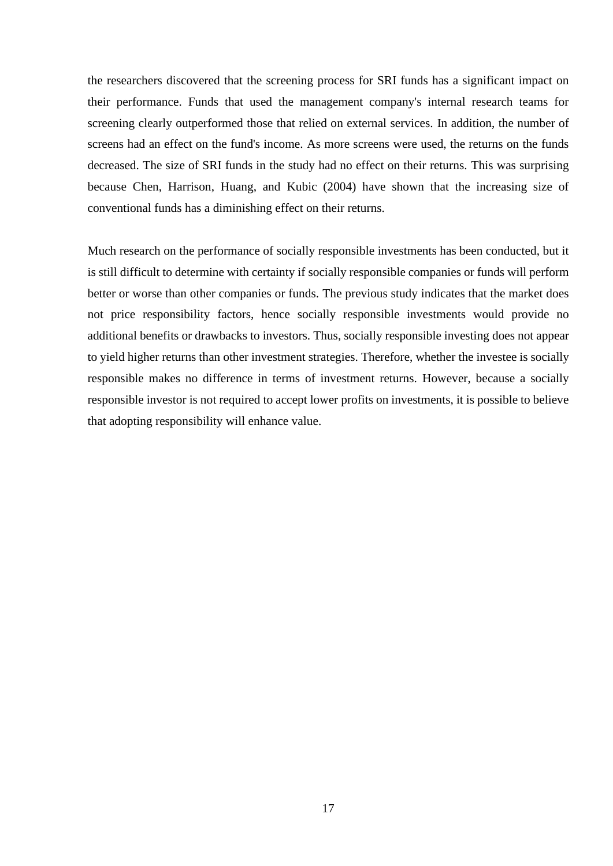the researchers discovered that the screening process for SRI funds has a significant impact on their performance. Funds that used the management company's internal research teams for screening clearly outperformed those that relied on external services. In addition, the number of screens had an effect on the fund's income. As more screens were used, the returns on the funds decreased. The size of SRI funds in the study had no effect on their returns. This was surprising because Chen, Harrison, Huang, and Kubic (2004) have shown that the increasing size of conventional funds has a diminishing effect on their returns.

Much research on the performance of socially responsible investments has been conducted, but it is still difficult to determine with certainty if socially responsible companies or funds will perform better or worse than other companies or funds. The previous study indicates that the market does not price responsibility factors, hence socially responsible investments would provide no additional benefits or drawbacks to investors. Thus, socially responsible investing does not appear to yield higher returns than other investment strategies. Therefore, whether the investee is socially responsible makes no difference in terms of investment returns. However, because a socially responsible investor is not required to accept lower profits on investments, it is possible to believe that adopting responsibility will enhance value.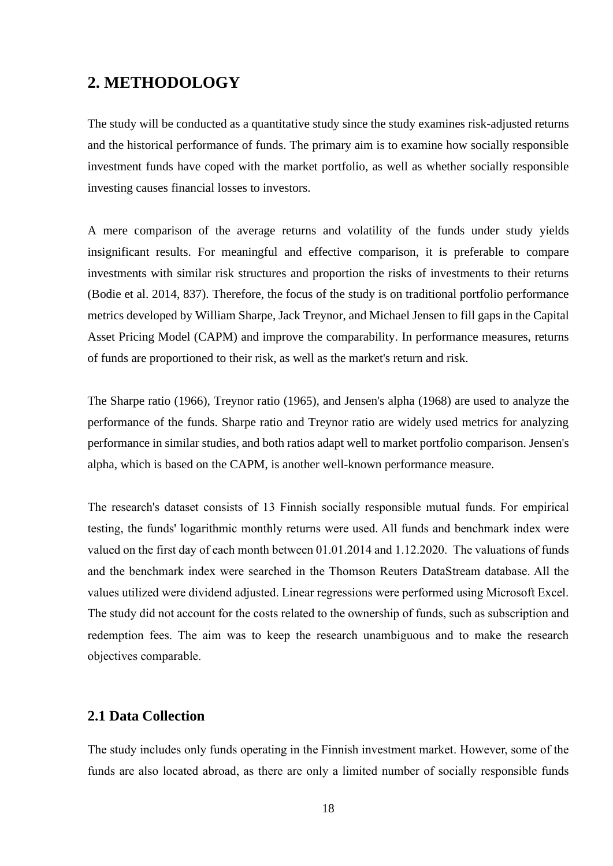## <span id="page-17-0"></span>**2. METHODOLOGY**

The study will be conducted as a quantitative study since the study examines risk-adjusted returns and the historical performance of funds. The primary aim is to examine how socially responsible investment funds have coped with the market portfolio, as well as whether socially responsible investing causes financial losses to investors.

A mere comparison of the average returns and volatility of the funds under study yields insignificant results. For meaningful and effective comparison, it is preferable to compare investments with similar risk structures and proportion the risks of investments to their returns (Bodie et al. 2014, 837). Therefore, the focus of the study is on traditional portfolio performance metrics developed by William Sharpe, Jack Treynor, and Michael Jensen to fill gaps in the Capital Asset Pricing Model (CAPM) and improve the comparability. In performance measures, returns of funds are proportioned to their risk, as well as the market's return and risk.

The Sharpe ratio (1966), Treynor ratio (1965), and Jensen's alpha (1968) are used to analyze the performance of the funds. Sharpe ratio and Treynor ratio are widely used metrics for analyzing performance in similar studies, and both ratios adapt well to market portfolio comparison. Jensen's alpha, which is based on the CAPM, is another well-known performance measure.

The research's dataset consists of 13 Finnish socially responsible mutual funds. For empirical testing, the funds' logarithmic monthly returns were used. All funds and benchmark index were valued on the first day of each month between 01.01.2014 and 1.12.2020. The valuations of funds and the benchmark index were searched in the Thomson Reuters DataStream database. All the values utilized were dividend adjusted. Linear regressions were performed using Microsoft Excel. The study did not account for the costs related to the ownership of funds, such as subscription and redemption fees. The aim was to keep the research unambiguous and to make the research objectives comparable.

### <span id="page-17-1"></span>**2.1 Data Collection**

The study includes only funds operating in the Finnish investment market. However, some of the funds are also located abroad, as there are only a limited number of socially responsible funds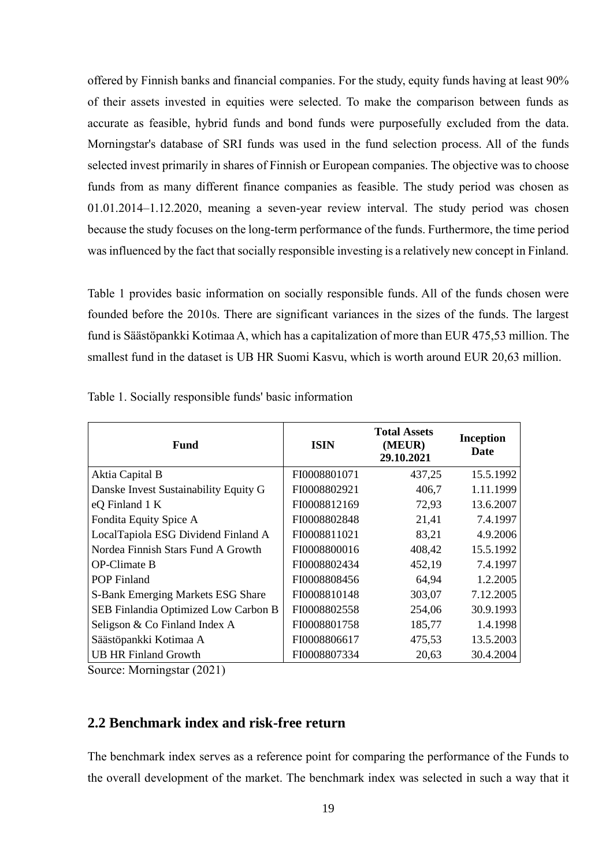offered by Finnish banks and financial companies. For the study, equity funds having at least 90% of their assets invested in equities were selected. To make the comparison between funds as accurate as feasible, hybrid funds and bond funds were purposefully excluded from the data. Morningstar's database of SRI funds was used in the fund selection process. All of the funds selected invest primarily in shares of Finnish or European companies. The objective was to choose funds from as many different finance companies as feasible. The study period was chosen as 01.01.2014–1.12.2020, meaning a seven-year review interval. The study period was chosen because the study focuses on the long-term performance of the funds. Furthermore, the time period was influenced by the fact that socially responsible investing is a relatively new concept in Finland.

Table 1 provides basic information on socially responsible funds. All of the funds chosen were founded before the 2010s. There are significant variances in the sizes of the funds. The largest fund is Säästöpankki Kotimaa A, which has a capitalization of more than EUR 475,53 million. The smallest fund in the dataset is UB HR Suomi Kasvu, which is worth around EUR 20,63 million.

| <b>Fund</b>                           | <b>ISIN</b>  | <b>Total Assets</b><br>(MEUR)<br>29.10.2021 | <b>Inception</b><br><b>Date</b> |
|---------------------------------------|--------------|---------------------------------------------|---------------------------------|
| Aktia Capital B                       | FI0008801071 | 437,25                                      | 15.5.1992                       |
| Danske Invest Sustainability Equity G | FI0008802921 | 406,7                                       | 1.11.1999                       |
| eQ Finland 1 K                        | FI0008812169 | 72,93                                       | 13.6.2007                       |
| Fondita Equity Spice A                | FI0008802848 | 21,41                                       | 7.4.1997                        |
| LocalTapiola ESG Dividend Finland A   | FI0008811021 | 83,21                                       | 4.9.2006                        |
| Nordea Finnish Stars Fund A Growth    | FI0008800016 | 408,42                                      | 15.5.1992                       |
| <b>OP-Climate B</b>                   | FI0008802434 | 452,19                                      | 7.4.1997                        |
| <b>POP</b> Finland                    | FI0008808456 | 64,94                                       | 1.2.2005                        |
| S-Bank Emerging Markets ESG Share     | FI0008810148 | 303,07                                      | 7.12.2005                       |
| SEB Finlandia Optimized Low Carbon B  | FI0008802558 | 254,06                                      | 30.9.1993                       |
| Seligson & Co Finland Index A         | FI0008801758 | 185,77                                      | 1.4.1998                        |
| Säästöpankki Kotimaa A                | FI0008806617 | 475,53                                      | 13.5.2003                       |
| <b>UB HR Finland Growth</b>           | FI0008807334 | 20,63                                       | 30.4.2004                       |

Table 1. Socially responsible funds' basic information

<span id="page-18-0"></span>Source: Morningstar (2021)

## **2.2 Benchmark index and risk-free return**

The benchmark index serves as a reference point for comparing the performance of the Funds to the overall development of the market. The benchmark index was selected in such a way that it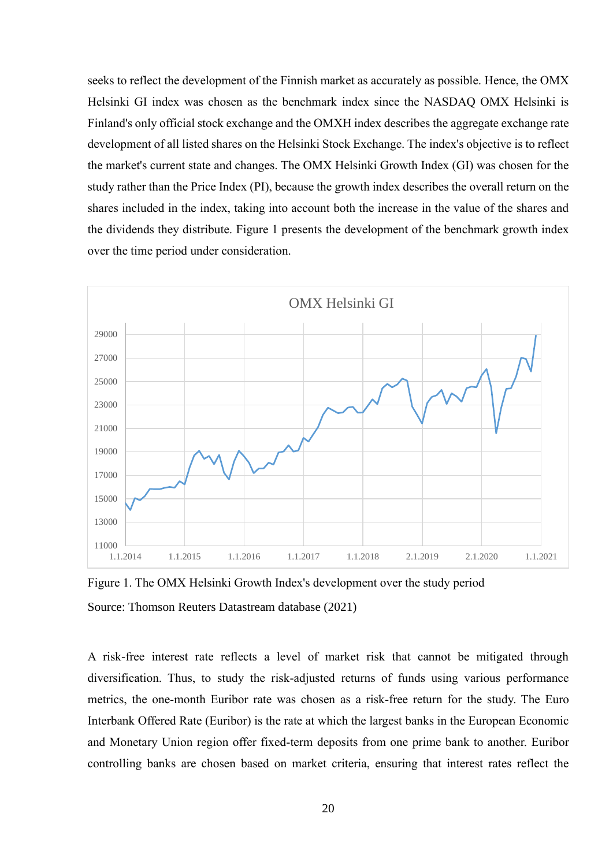seeks to reflect the development of the Finnish market as accurately as possible. Hence, the OMX Helsinki GI index was chosen as the benchmark index since the NASDAQ OMX Helsinki is Finland's only official stock exchange and the OMXH index describes the aggregate exchange rate development of all listed shares on the Helsinki Stock Exchange. The index's objective is to reflect the market's current state and changes. The OMX Helsinki Growth Index (GI) was chosen for the study rather than the Price Index (PI), because the growth index describes the overall return on the shares included in the index, taking into account both the increase in the value of the shares and the dividends they distribute. Figure 1 presents the development of the benchmark growth index over the time period under consideration.



Figure 1. The OMX Helsinki Growth Index's development over the study period Source: Thomson Reuters Datastream database (2021)

A risk-free interest rate reflects a level of market risk that cannot be mitigated through diversification. Thus, to study the risk-adjusted returns of funds using various performance metrics, the one-month Euribor rate was chosen as a risk-free return for the study. The Euro Interbank Offered Rate (Euribor) is the rate at which the largest banks in the European Economic and Monetary Union region offer fixed-term deposits from one prime bank to another. Euribor controlling banks are chosen based on market criteria, ensuring that interest rates reflect the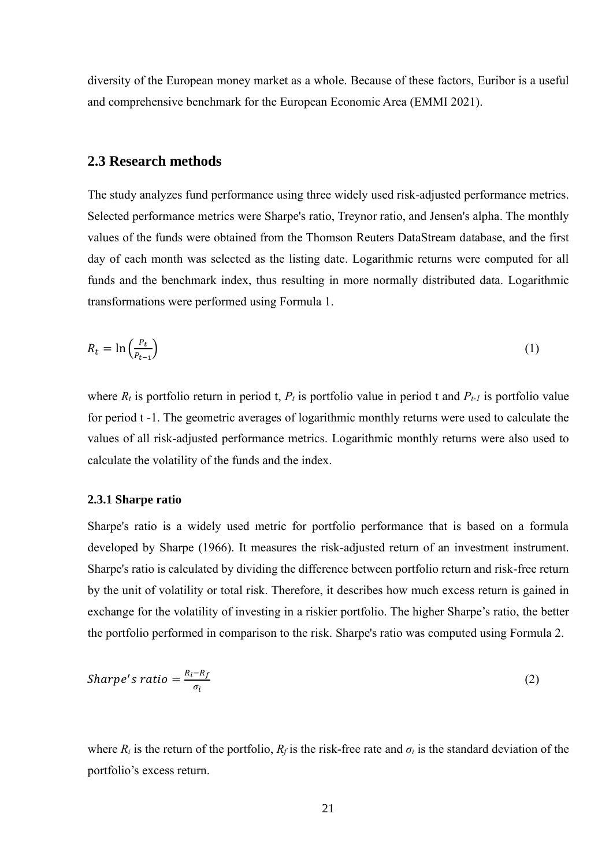diversity of the European money market as a whole. Because of these factors, Euribor is a useful and comprehensive benchmark for the European Economic Area (EMMI 2021).

#### <span id="page-20-0"></span>**2.3 Research methods**

The study analyzes fund performance using three widely used risk-adjusted performance metrics. Selected performance metrics were Sharpe's ratio, Treynor ratio, and Jensen's alpha. The monthly values of the funds were obtained from the Thomson Reuters DataStream database, and the first day of each month was selected as the listing date. Logarithmic returns were computed for all funds and the benchmark index, thus resulting in more normally distributed data. Logarithmic transformations were performed using Formula 1.

$$
R_t = \ln\left(\frac{P_t}{P_{t-1}}\right) \tag{1}
$$

where  $R_t$  is portfolio return in period t,  $P_t$  is portfolio value in period t and  $P_{t-1}$  is portfolio value for period t -1. The geometric averages of logarithmic monthly returns were used to calculate the values of all risk-adjusted performance metrics. Logarithmic monthly returns were also used to calculate the volatility of the funds and the index.

#### <span id="page-20-1"></span>**2.3.1 Sharpe ratio**

Sharpe's ratio is a widely used metric for portfolio performance that is based on a formula developed by Sharpe (1966). It measures the risk-adjusted return of an investment instrument. Sharpe's ratio is calculated by dividing the difference between portfolio return and risk-free return by the unit of volatility or total risk. Therefore, it describes how much excess return is gained in exchange for the volatility of investing in a riskier portfolio. The higher Sharpe's ratio, the better the portfolio performed in comparison to the risk. Sharpe's ratio was computed using Formula 2.

*Sharpe's ratio* = 
$$
\frac{R_i - R_f}{\sigma_i}
$$
 (2)

where  $R_i$  is the return of the portfolio,  $R_f$  is the risk-free rate and  $\sigma_i$  is the standard deviation of the portfolio's excess return.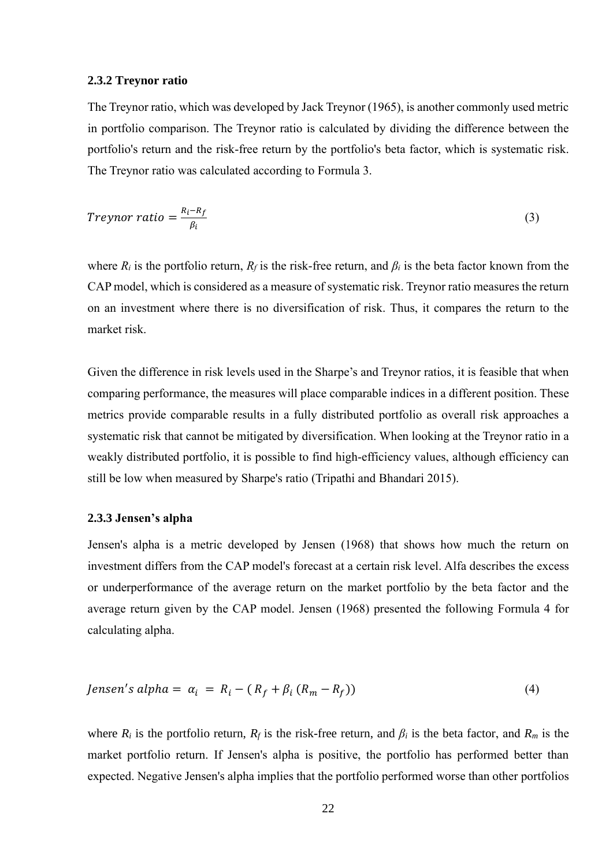#### <span id="page-21-0"></span>**2.3.2 Treynor ratio**

The Treynor ratio, which was developed by Jack Treynor (1965), is another commonly used metric in portfolio comparison. The Treynor ratio is calculated by dividing the difference between the portfolio's return and the risk-free return by the portfolio's beta factor, which is systematic risk. The Treynor ratio was calculated according to Formula 3.

$$
Treynor ratio = \frac{R_i - R_f}{\beta_i} \tag{3}
$$

where  $R_i$  is the portfolio return,  $R_f$  is the risk-free return, and  $\beta_i$  is the beta factor known from the CAP model, which is considered as a measure of systematic risk. Treynor ratio measures the return on an investment where there is no diversification of risk. Thus, it compares the return to the market risk.

Given the difference in risk levels used in the Sharpe's and Treynor ratios, it is feasible that when comparing performance, the measures will place comparable indices in a different position. These metrics provide comparable results in a fully distributed portfolio as overall risk approaches a systematic risk that cannot be mitigated by diversification. When looking at the Treynor ratio in a weakly distributed portfolio, it is possible to find high-efficiency values, although efficiency can still be low when measured by Sharpe's ratio (Tripathi and Bhandari 2015).

#### <span id="page-21-1"></span>**2.3.3 Jensen's alpha**

Jensen's alpha is a metric developed by Jensen (1968) that shows how much the return on investment differs from the CAP model's forecast at a certain risk level. Alfa describes the excess or underperformance of the average return on the market portfolio by the beta factor and the average return given by the CAP model. Jensen (1968) presented the following Formula 4 for calculating alpha.

$$
Jensen's alpha = \alpha_i = R_i - (R_f + \beta_i (R_m - R_f))
$$
\n(4)

where  $R_i$  is the portfolio return,  $R_f$  is the risk-free return, and  $\beta_i$  is the beta factor, and  $R_m$  is the market portfolio return. If Jensen's alpha is positive, the portfolio has performed better than expected. Negative Jensen's alpha implies that the portfolio performed worse than other portfolios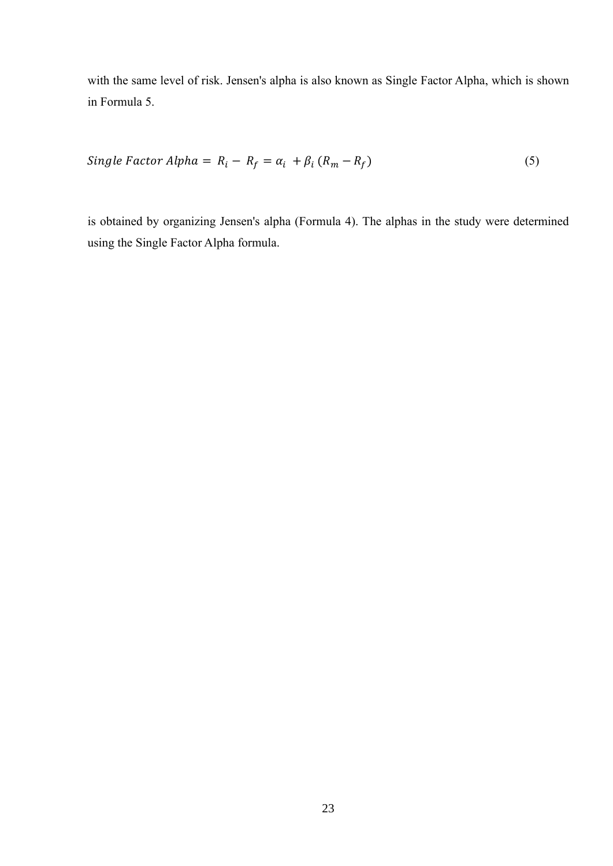with the same level of risk. Jensen's alpha is also known as Single Factor Alpha, which is shown in Formula 5.

$$
Single Factor Alpha = R_i - R_f = \alpha_i + \beta_i (R_m - R_f)
$$
\n<sup>(5)</sup>

is obtained by organizing Jensen's alpha (Formula 4). The alphas in the study were determined using the Single Factor Alpha formula.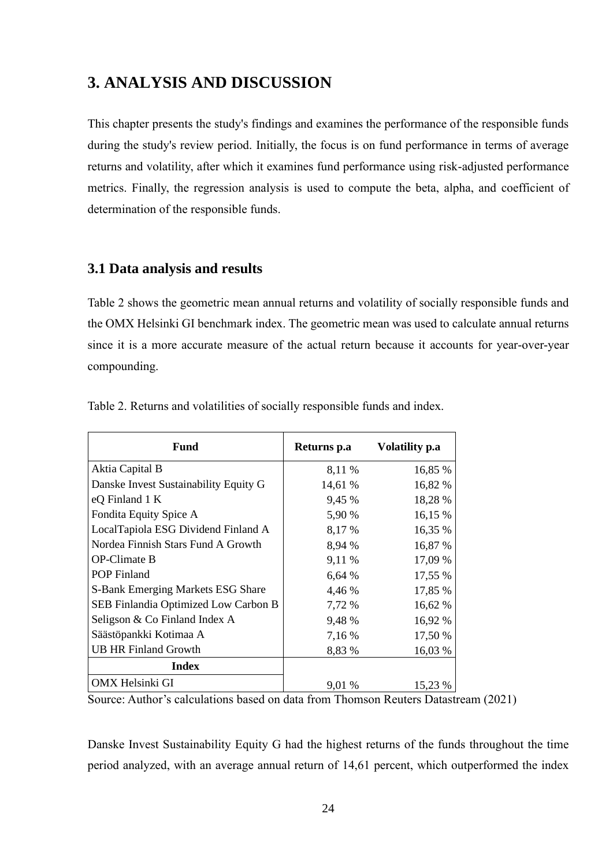# <span id="page-23-0"></span>**3. ANALYSIS AND DISCUSSION**

This chapter presents the study's findings and examines the performance of the responsible funds during the study's review period. Initially, the focus is on fund performance in terms of average returns and volatility, after which it examines fund performance using risk-adjusted performance metrics. Finally, the regression analysis is used to compute the beta, alpha, and coefficient of determination of the responsible funds.

### <span id="page-23-1"></span>**3.1 Data analysis and results**

Table 2 shows the geometric mean annual returns and volatility of socially responsible funds and the OMX Helsinki GI benchmark index. The geometric mean was used to calculate annual returns since it is a more accurate measure of the actual return because it accounts for year-over-year compounding.

| Fund                                  | Returns p.a | Volatility p.a |
|---------------------------------------|-------------|----------------|
| Aktia Capital B                       | 8,11 %      | 16,85 %        |
| Danske Invest Sustainability Equity G | 14,61 %     | 16,82 %        |
| eQ Finland 1 K                        | 9,45 %      | 18,28 %        |
| Fondita Equity Spice A                | 5,90 %      | 16,15 %        |
| LocalTapiola ESG Dividend Finland A   | 8,17 %      | 16,35 %        |
| Nordea Finnish Stars Fund A Growth    | 8,94 %      | 16,87 %        |
| <b>OP-Climate B</b>                   | 9,11 %      | 17,09 %        |
| <b>POP</b> Finland                    | 6,64%       | 17,55 %        |
| S-Bank Emerging Markets ESG Share     | 4,46 %      | 17,85 %        |
| SEB Finlandia Optimized Low Carbon B  | 7,72 %      | 16,62 %        |
| Seligson & Co Finland Index A         | 9,48 %      | 16,92 %        |
| Säästöpankki Kotimaa A                | 7,16 %      | 17,50 %        |
| <b>UB HR Finland Growth</b>           | 8,83 %      | 16,03 %        |
| <b>Index</b>                          |             |                |
| OMX Helsinki GI                       | 9,01 %      | 15,23 %        |

Table 2. Returns and volatilities of socially responsible funds and index.

Source: Author's calculations based on data from Thomson Reuters Datastream (2021)

Danske Invest Sustainability Equity G had the highest returns of the funds throughout the time period analyzed, with an average annual return of 14,61 percent, which outperformed the index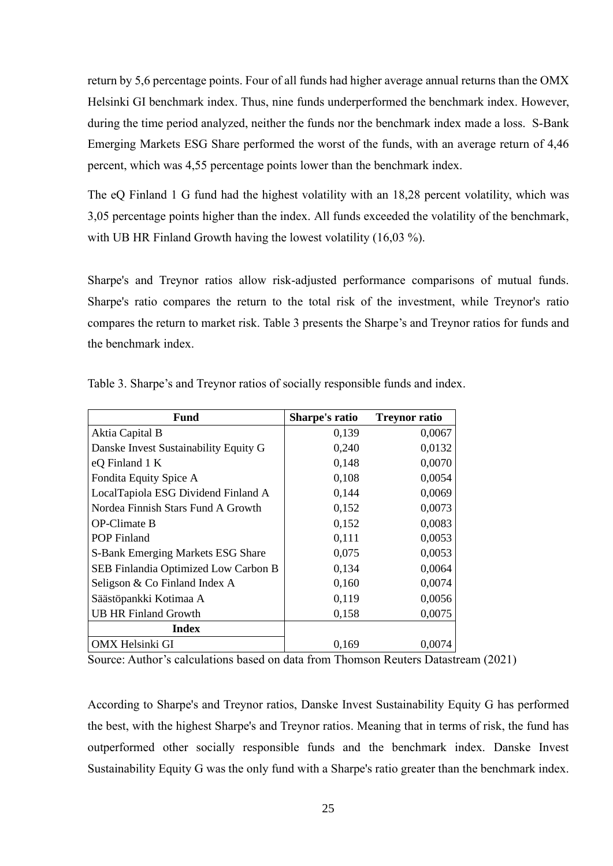return by 5,6 percentage points. Four of all funds had higher average annual returns than the OMX Helsinki GI benchmark index. Thus, nine funds underperformed the benchmark index. However, during the time period analyzed, neither the funds nor the benchmark index made a loss. S-Bank Emerging Markets ESG Share performed the worst of the funds, with an average return of 4,46 percent, which was 4,55 percentage points lower than the benchmark index.

The eQ Finland 1 G fund had the highest volatility with an 18,28 percent volatility, which was 3,05 percentage points higher than the index. All funds exceeded the volatility of the benchmark, with UB HR Finland Growth having the lowest volatility (16,03 %).

Sharpe's and Treynor ratios allow risk-adjusted performance comparisons of mutual funds. Sharpe's ratio compares the return to the total risk of the investment, while Treynor's ratio compares the return to market risk. Table 3 presents the Sharpe's and Treynor ratios for funds and the benchmark index.

| <b>Fund</b>                           | Sharpe's ratio | <b>Treynor ratio</b> |
|---------------------------------------|----------------|----------------------|
| Aktia Capital B                       | 0,139          | 0,0067               |
| Danske Invest Sustainability Equity G | 0,240          | 0,0132               |
| eQ Finland 1 K                        | 0,148          | 0,0070               |
| Fondita Equity Spice A                | 0,108          | 0,0054               |
| LocalTapiola ESG Dividend Finland A   | 0,144          | 0,0069               |
| Nordea Finnish Stars Fund A Growth    | 0,152          | 0,0073               |
| <b>OP-Climate B</b>                   | 0,152          | 0,0083               |
| <b>POP Finland</b>                    | 0,111          | 0,0053               |
| S-Bank Emerging Markets ESG Share     | 0,075          | 0,0053               |
| SEB Finlandia Optimized Low Carbon B  | 0,134          | 0,0064               |
| Seligson & Co Finland Index A         | 0,160          | 0,0074               |
| Säästöpankki Kotimaa A                | 0,119          | 0,0056               |
| <b>UB HR Finland Growth</b>           | 0,158          | 0,0075               |
| Index                                 |                |                      |
| OMX Helsinki GI                       | 0,169          | 0.0074               |

Table 3. Sharpe's and Treynor ratios of socially responsible funds and index.

Source: Author's calculations based on data from Thomson Reuters Datastream (2021)

According to Sharpe's and Treynor ratios, Danske Invest Sustainability Equity G has performed the best, with the highest Sharpe's and Treynor ratios. Meaning that in terms of risk, the fund has outperformed other socially responsible funds and the benchmark index. Danske Invest Sustainability Equity G was the only fund with a Sharpe's ratio greater than the benchmark index.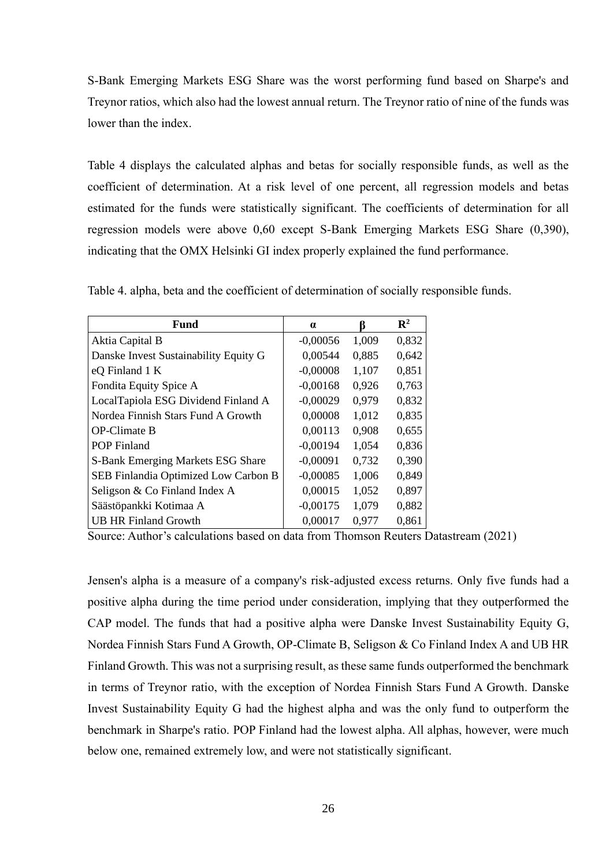S-Bank Emerging Markets ESG Share was the worst performing fund based on Sharpe's and Treynor ratios, which also had the lowest annual return. The Treynor ratio of nine of the funds was lower than the index.

Table 4 displays the calculated alphas and betas for socially responsible funds, as well as the coefficient of determination. At a risk level of one percent, all regression models and betas estimated for the funds were statistically significant. The coefficients of determination for all regression models were above 0,60 except S-Bank Emerging Markets ESG Share (0,390), indicating that the OMX Helsinki GI index properly explained the fund performance.

| Fund                                  | $\alpha$   | ĸ     | $\mathbf{R}^2$ |
|---------------------------------------|------------|-------|----------------|
| Aktia Capital B                       | $-0,00056$ | 1,009 | 0,832          |
| Danske Invest Sustainability Equity G | 0,00544    | 0.885 | 0,642          |
| eQ Finland 1 K                        | $-0,00008$ | 1,107 | 0,851          |
| Fondita Equity Spice A                | $-0,00168$ | 0,926 | 0,763          |
| LocalTapiola ESG Dividend Finland A   | $-0,00029$ | 0,979 | 0,832          |
| Nordea Finnish Stars Fund A Growth    | 0,00008    | 1,012 | 0,835          |
| <b>OP-Climate B</b>                   | 0,00113    | 0,908 | 0,655          |
| <b>POP</b> Finland                    | $-0,00194$ | 1,054 | 0,836          |
| S-Bank Emerging Markets ESG Share     | $-0,00091$ | 0.732 | 0,390          |
| SEB Finlandia Optimized Low Carbon B  | $-0,00085$ | 1,006 | 0,849          |
| Seligson & Co Finland Index A         | 0,00015    | 1,052 | 0,897          |
| Säästöpankki Kotimaa A                | $-0,00175$ | 1,079 | 0,882          |
| <b>UB HR Finland Growth</b>           | 0,00017    | 0,977 | 0,861          |

Table 4. alpha, beta and the coefficient of determination of socially responsible funds.

Source: Author's calculations based on data from Thomson Reuters Datastream (2021)

Jensen's alpha is a measure of a company's risk-adjusted excess returns. Only five funds had a positive alpha during the time period under consideration, implying that they outperformed the CAP model. The funds that had a positive alpha were Danske Invest Sustainability Equity G, Nordea Finnish Stars Fund A Growth, OP-Climate B, Seligson & Co Finland Index A and UB HR Finland Growth. This was not a surprising result, as these same funds outperformed the benchmark in terms of Treynor ratio, with the exception of Nordea Finnish Stars Fund A Growth. Danske Invest Sustainability Equity G had the highest alpha and was the only fund to outperform the benchmark in Sharpe's ratio. POP Finland had the lowest alpha. All alphas, however, were much below one, remained extremely low, and were not statistically significant.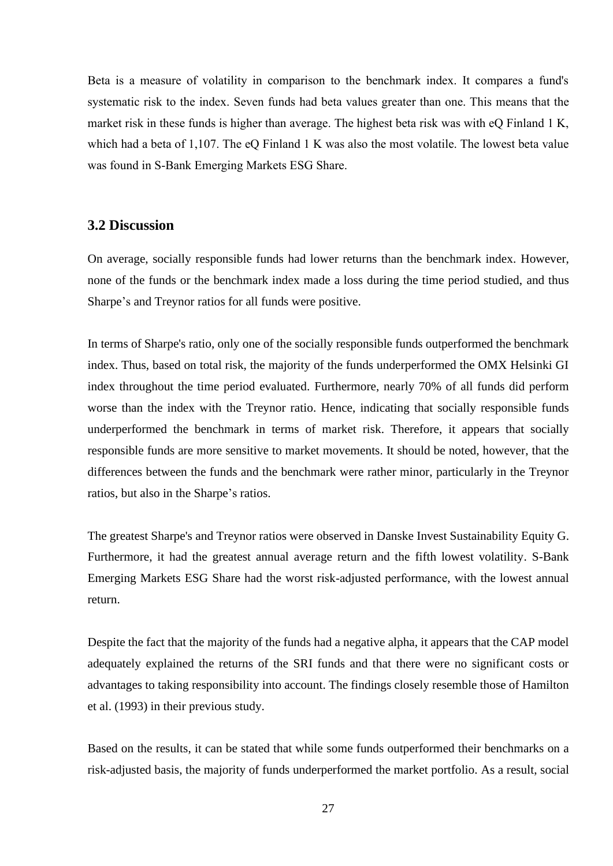Beta is a measure of volatility in comparison to the benchmark index. It compares a fund's systematic risk to the index. Seven funds had beta values greater than one. This means that the market risk in these funds is higher than average. The highest beta risk was with eQ Finland 1 K, which had a beta of 1,107. The eQ Finland 1 K was also the most volatile. The lowest beta value was found in S-Bank Emerging Markets ESG Share.

### <span id="page-26-0"></span>**3.2 Discussion**

On average, socially responsible funds had lower returns than the benchmark index. However, none of the funds or the benchmark index made a loss during the time period studied, and thus Sharpe's and Treynor ratios for all funds were positive.

In terms of Sharpe's ratio, only one of the socially responsible funds outperformed the benchmark index. Thus, based on total risk, the majority of the funds underperformed the OMX Helsinki GI index throughout the time period evaluated. Furthermore, nearly 70% of all funds did perform worse than the index with the Treynor ratio. Hence, indicating that socially responsible funds underperformed the benchmark in terms of market risk. Therefore, it appears that socially responsible funds are more sensitive to market movements. It should be noted, however, that the differences between the funds and the benchmark were rather minor, particularly in the Treynor ratios, but also in the Sharpe's ratios.

The greatest Sharpe's and Treynor ratios were observed in Danske Invest Sustainability Equity G. Furthermore, it had the greatest annual average return and the fifth lowest volatility. S-Bank Emerging Markets ESG Share had the worst risk-adjusted performance, with the lowest annual return.

Despite the fact that the majority of the funds had a negative alpha, it appears that the CAP model adequately explained the returns of the SRI funds and that there were no significant costs or advantages to taking responsibility into account. The findings closely resemble those of Hamilton et al. (1993) in their previous study.

Based on the results, it can be stated that while some funds outperformed their benchmarks on a risk-adjusted basis, the majority of funds underperformed the market portfolio. As a result, social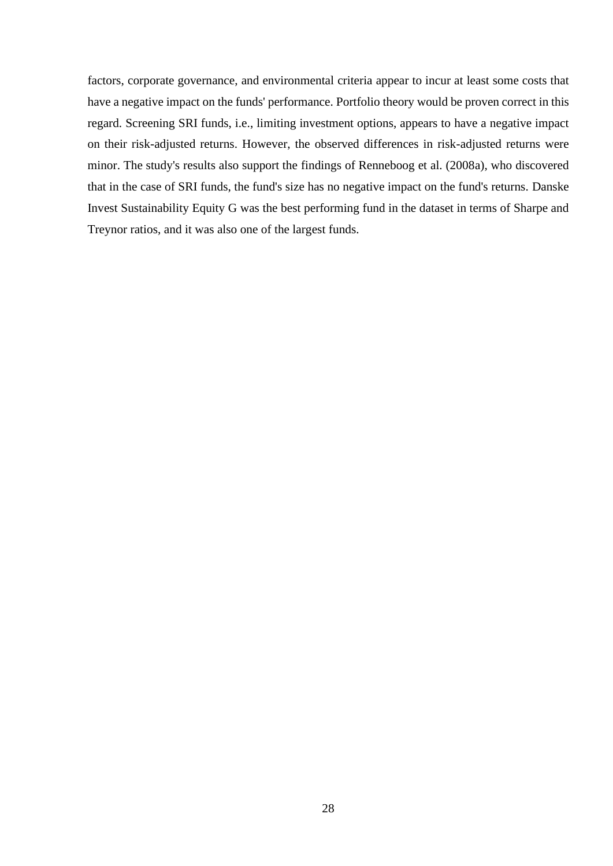factors, corporate governance, and environmental criteria appear to incur at least some costs that have a negative impact on the funds' performance. Portfolio theory would be proven correct in this regard. Screening SRI funds, i.e., limiting investment options, appears to have a negative impact on their risk-adjusted returns. However, the observed differences in risk-adjusted returns were minor. The study's results also support the findings of Renneboog et al. (2008a), who discovered that in the case of SRI funds, the fund's size has no negative impact on the fund's returns. Danske Invest Sustainability Equity G was the best performing fund in the dataset in terms of Sharpe and Treynor ratios, and it was also one of the largest funds.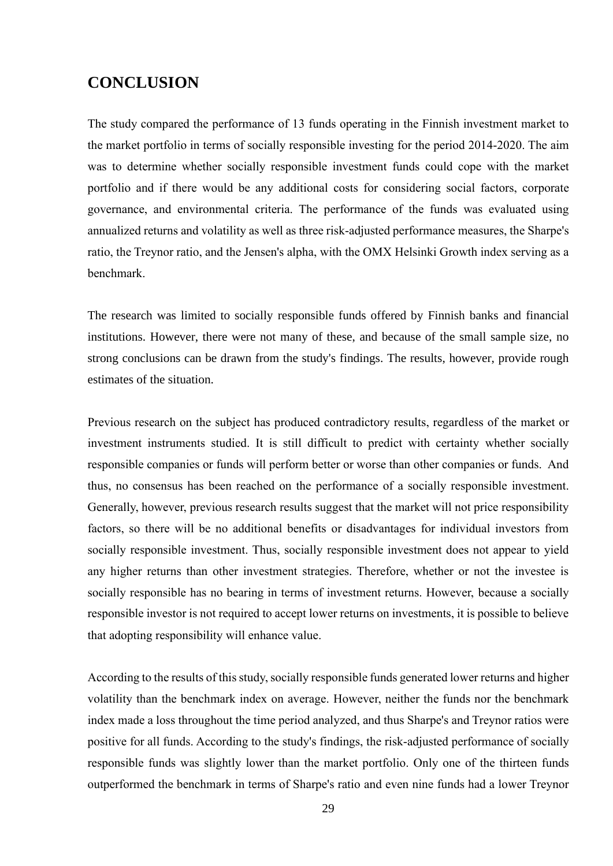# <span id="page-28-0"></span>**CONCLUSION**

The study compared the performance of 13 funds operating in the Finnish investment market to the market portfolio in terms of socially responsible investing for the period 2014-2020. The aim was to determine whether socially responsible investment funds could cope with the market portfolio and if there would be any additional costs for considering social factors, corporate governance, and environmental criteria. The performance of the funds was evaluated using annualized returns and volatility as well as three risk-adjusted performance measures, the Sharpe's ratio, the Treynor ratio, and the Jensen's alpha, with the OMX Helsinki Growth index serving as a benchmark.

The research was limited to socially responsible funds offered by Finnish banks and financial institutions. However, there were not many of these, and because of the small sample size, no strong conclusions can be drawn from the study's findings. The results, however, provide rough estimates of the situation.

Previous research on the subject has produced contradictory results, regardless of the market or investment instruments studied. It is still difficult to predict with certainty whether socially responsible companies or funds will perform better or worse than other companies or funds. And thus, no consensus has been reached on the performance of a socially responsible investment. Generally, however, previous research results suggest that the market will not price responsibility factors, so there will be no additional benefits or disadvantages for individual investors from socially responsible investment. Thus, socially responsible investment does not appear to yield any higher returns than other investment strategies. Therefore, whether or not the investee is socially responsible has no bearing in terms of investment returns. However, because a socially responsible investor is not required to accept lower returns on investments, it is possible to believe that adopting responsibility will enhance value.

According to the results of this study, socially responsible funds generated lower returns and higher volatility than the benchmark index on average. However, neither the funds nor the benchmark index made a loss throughout the time period analyzed, and thus Sharpe's and Treynor ratios were positive for all funds. According to the study's findings, the risk-adjusted performance of socially responsible funds was slightly lower than the market portfolio. Only one of the thirteen funds outperformed the benchmark in terms of Sharpe's ratio and even nine funds had a lower Treynor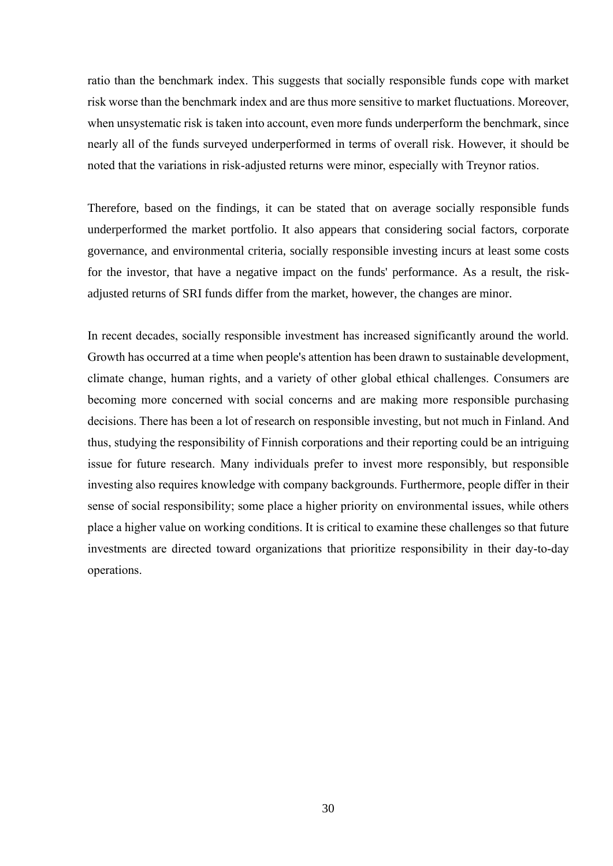ratio than the benchmark index. This suggests that socially responsible funds cope with market risk worse than the benchmark index and are thus more sensitive to market fluctuations. Moreover, when unsystematic risk is taken into account, even more funds underperform the benchmark, since nearly all of the funds surveyed underperformed in terms of overall risk. However, it should be noted that the variations in risk-adjusted returns were minor, especially with Treynor ratios.

Therefore, based on the findings, it can be stated that on average socially responsible funds underperformed the market portfolio. It also appears that considering social factors, corporate governance, and environmental criteria, socially responsible investing incurs at least some costs for the investor, that have a negative impact on the funds' performance. As a result, the riskadjusted returns of SRI funds differ from the market, however, the changes are minor.

In recent decades, socially responsible investment has increased significantly around the world. Growth has occurred at a time when people's attention has been drawn to sustainable development, climate change, human rights, and a variety of other global ethical challenges. Consumers are becoming more concerned with social concerns and are making more responsible purchasing decisions. There has been a lot of research on responsible investing, but not much in Finland. And thus, studying the responsibility of Finnish corporations and their reporting could be an intriguing issue for future research. Many individuals prefer to invest more responsibly, but responsible investing also requires knowledge with company backgrounds. Furthermore, people differ in their sense of social responsibility; some place a higher priority on environmental issues, while others place a higher value on working conditions. It is critical to examine these challenges so that future investments are directed toward organizations that prioritize responsibility in their day-to-day operations.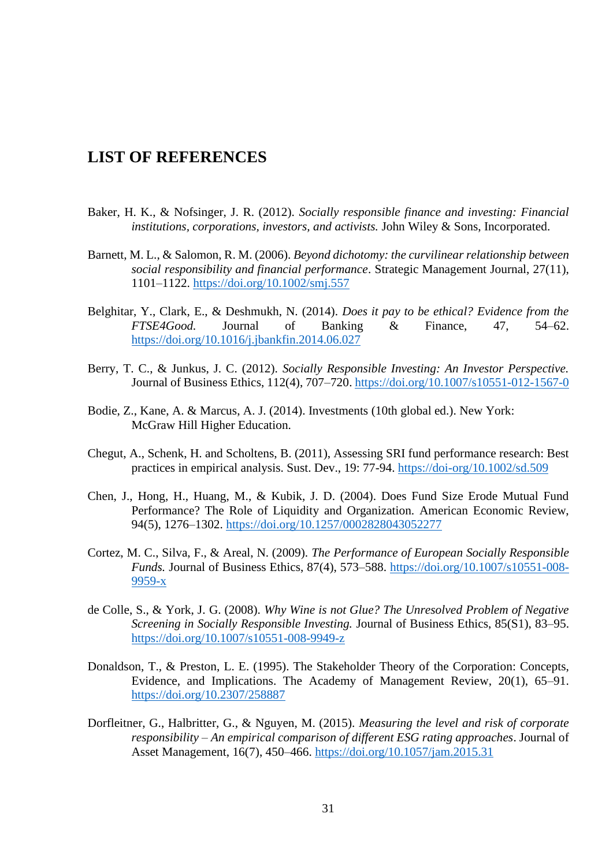## <span id="page-30-0"></span>**LIST OF REFERENCES**

- Baker, H. K., & Nofsinger, J. R. (2012). *Socially responsible finance and investing: Financial institutions, corporations, investors, and activists.* John Wiley & Sons, Incorporated.
- Barnett, M. L., & Salomon, R. M. (2006). *Beyond dichotomy: the curvilinear relationship between social responsibility and financial performance*. Strategic Management Journal, 27(11), 1101–1122.<https://doi.org/10.1002/smj.557>
- Belghitar, Y., Clark, E., & Deshmukh, N. (2014). *Does it pay to be ethical? Evidence from the FTSE4Good.* Journal of Banking & Finance, 47, 54–62. <https://doi.org/10.1016/j.jbankfin.2014.06.027>
- Berry, T. C., & Junkus, J. C. (2012). *Socially Responsible Investing: An Investor Perspective.*  Journal of Business Ethics, 112(4), 707–720[. https://doi.org/10.1007/s10551-012-1567-0](https://doi.org/10.1007/s10551-012-1567-0)
- Bodie, Z., Kane, A. & Marcus, A. J. (2014). Investments (10th global ed.). New York: McGraw Hill Higher Education.
- Chegut, A., Schenk, H. and Scholtens, B. (2011), Assessing SRI fund performance research: Best practices in empirical analysis. Sust. Dev., 19: 77-94.<https://doi-org/10.1002/sd.509>
- Chen, J., Hong, H., Huang, M., & Kubik, J. D. (2004). Does Fund Size Erode Mutual Fund Performance? The Role of Liquidity and Organization. American Economic Review, 94(5), 1276–1302.<https://doi.org/10.1257/0002828043052277>
- Cortez, M. C., Silva, F., & Areal, N. (2009). *The Performance of European Socially Responsible Funds.* Journal of Business Ethics, 87(4), 573–588. [https://doi.org/10.1007/s10551-008-](https://doi.org/10.1007/s10551-008-9959-x) [9959-x](https://doi.org/10.1007/s10551-008-9959-x)
- de Colle, S., & York, J. G. (2008). *Why Wine is not Glue? The Unresolved Problem of Negative Screening in Socially Responsible Investing.* Journal of Business Ethics, 85(S1), 83–95. <https://doi.org/10.1007/s10551-008-9949-z>
- Donaldson, T., & Preston, L. E. (1995). The Stakeholder Theory of the Corporation: Concepts, Evidence, and Implications. The Academy of Management Review, 20(1), 65–91. <https://doi.org/10.2307/258887>
- Dorfleitner, G., Halbritter, G., & Nguyen, M. (2015). *Measuring the level and risk of corporate responsibility – An empirical comparison of different ESG rating approaches*. Journal of Asset Management, 16(7), 450–466.<https://doi.org/10.1057/jam.2015.31>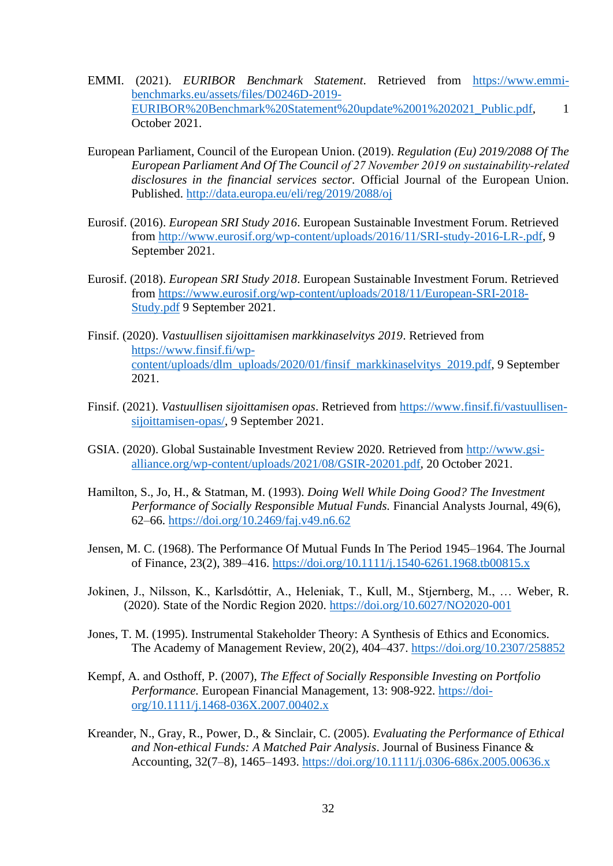- EMMI. (2021). *EURIBOR Benchmark Statement*. Retrieved from [https://www.emmi](https://www.emmi-benchmarks.eu/assets/files/D0246D-2019-EURIBOR%20Benchmark%20Statement%20update%2001%202021_Public.pdf)[benchmarks.eu/assets/files/D0246D-2019-](https://www.emmi-benchmarks.eu/assets/files/D0246D-2019-EURIBOR%20Benchmark%20Statement%20update%2001%202021_Public.pdf) [EURIBOR%20Benchmark%20Statement%20update%2001%202021\\_Public.pdf,](https://www.emmi-benchmarks.eu/assets/files/D0246D-2019-EURIBOR%20Benchmark%20Statement%20update%2001%202021_Public.pdf) 1 October 2021.
- European Parliament, Council of the European Union. (2019). *Regulation (Eu) 2019/2088 Of The European Parliament And Of The Council of 27 November 2019 on sustainability‐related disclosures in the financial services sector.* Official Journal of the European Union. Published.<http://data.europa.eu/eli/reg/2019/2088/oj>
- Eurosif. (2016). *European SRI Study 2016*. European Sustainable Investment Forum. Retrieved from [http://www.eurosif.org/wp-content/uploads/2016/11/SRI-study-2016-LR-.pdf,](http://www.eurosif.org/wp-content/uploads/2016/11/SRI-study-2016-LR-.pdf) 9 September 2021.
- Eurosif. (2018). *European SRI Study 2018*. European Sustainable Investment Forum. Retrieved from [https://www.eurosif.org/wp-content/uploads/2018/11/European-SRI-2018-](https://www.eurosif.org/wp-content/uploads/2018/11/European-SRI-2018-Study.pdf) [Study.pdf](https://www.eurosif.org/wp-content/uploads/2018/11/European-SRI-2018-Study.pdf) 9 September 2021.
- Finsif. (2020). *Vastuullisen sijoittamisen markkinaselvitys 2019*. Retrieved from [https://www.finsif.fi/wp](https://www.finsif.fi/wp-content/uploads/dlm_uploads/2020/01/finsif_markkinaselvitys_2019.pdf)[content/uploads/dlm\\_uploads/2020/01/finsif\\_markkinaselvitys\\_2019.pdf,](https://www.finsif.fi/wp-content/uploads/dlm_uploads/2020/01/finsif_markkinaselvitys_2019.pdf) 9 September 2021.
- Finsif. (2021). *Vastuullisen sijoittamisen opas*. Retrieved from [https://www.finsif.fi/vastuullisen](https://www.finsif.fi/vastuullisen-sijoittamisen-opas/)[sijoittamisen-opas/,](https://www.finsif.fi/vastuullisen-sijoittamisen-opas/) 9 September 2021.
- GSIA. (2020). Global Sustainable Investment Review 2020. Retrieved from [http://www.gsi](http://www.gsi-alliance.org/wp-content/uploads/2021/08/GSIR-20201.pdf)[alliance.org/wp-content/uploads/2021/08/GSIR-20201.pdf,](http://www.gsi-alliance.org/wp-content/uploads/2021/08/GSIR-20201.pdf) 20 October 2021.
- Hamilton, S., Jo, H., & Statman, M. (1993). *Doing Well While Doing Good? The Investment Performance of Socially Responsible Mutual Funds.* Financial Analysts Journal, 49(6), 62–66.<https://doi.org/10.2469/faj.v49.n6.62>
- Jensen, M. C. (1968). The Performance Of Mutual Funds In The Period 1945–1964. The Journal of Finance, 23(2), 389–416.<https://doi.org/10.1111/j.1540-6261.1968.tb00815.x>
- Jokinen, J., Nilsson, K., Karlsdóttir, A., Heleniak, T., Kull, M., Stjernberg, M., … Weber, R. (2020). State of the Nordic Region 2020.<https://doi.org/10.6027/NO2020-001>
- Jones, T. M. (1995). Instrumental Stakeholder Theory: A Synthesis of Ethics and Economics. The Academy of Management Review, 20(2), 404–437.<https://doi.org/10.2307/258852>
- Kempf, A. and Osthoff, P. (2007), *The Effect of Socially Responsible Investing on Portfolio Performance.* European Financial Management, 13: 908-922. [https://doi](https://doi-org/10.1111/j.1468-036X.2007.00402.x)[org/10.1111/j.1468-036X.2007.00402.x](https://doi-org/10.1111/j.1468-036X.2007.00402.x)
- Kreander, N., Gray, R., Power, D., & Sinclair, C. (2005). *Evaluating the Performance of Ethical and Non-ethical Funds: A Matched Pair Analysis*. Journal of Business Finance & Accounting, 32(7–8), 1465–1493.<https://doi.org/10.1111/j.0306-686x.2005.00636.x>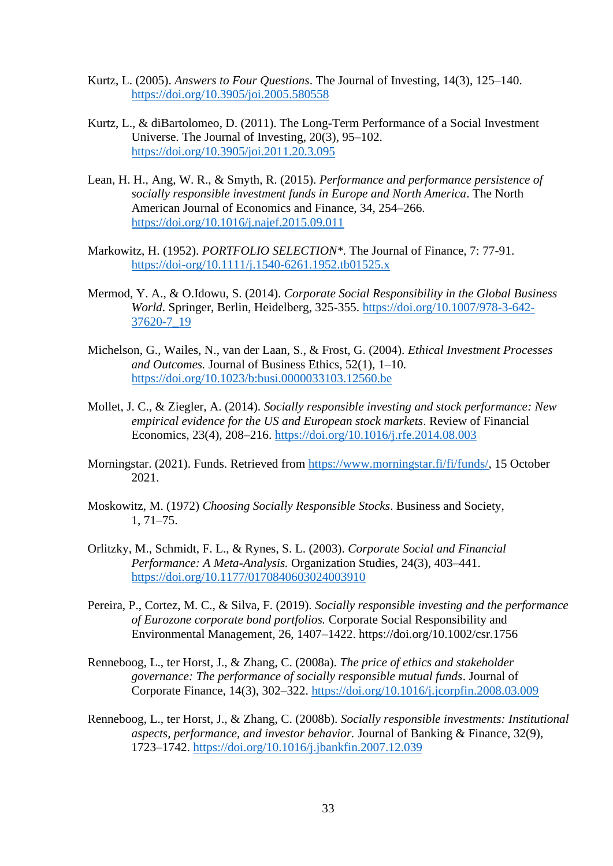- Kurtz, L. (2005). *Answers to Four Questions*. The Journal of Investing, 14(3), 125–140. <https://doi.org/10.3905/joi.2005.580558>
- Kurtz, L., & diBartolomeo, D. (2011). The Long-Term Performance of a Social Investment Universe. The Journal of Investing, 20(3), 95–102. <https://doi.org/10.3905/joi.2011.20.3.095>
- Lean, H. H., Ang, W. R., & Smyth, R. (2015). *Performance and performance persistence of socially responsible investment funds in Europe and North America*. The North American Journal of Economics and Finance, 34, 254–266. <https://doi.org/10.1016/j.najef.2015.09.011>
- Markowitz, H. (1952). *PORTFOLIO SELECTION\*.* The Journal of Finance, 7: 77-91. <https://doi-org/10.1111/j.1540-6261.1952.tb01525.x>
- Mermod, Y. A., & O.Idowu, S. (2014). *Corporate Social Responsibility in the Global Business World*. Springer, Berlin, Heidelberg, 325-355. [https://doi.org/10.1007/978-3-642-](https://doi.org/10.1007/978-3-642-37620-7_19) [37620-7\\_19](https://doi.org/10.1007/978-3-642-37620-7_19)
- Michelson, G., Wailes, N., van der Laan, S., & Frost, G. (2004). *Ethical Investment Processes and Outcomes.* Journal of Business Ethics, 52(1), 1–10. <https://doi.org/10.1023/b:busi.0000033103.12560.be>
- Mollet, J. C., & Ziegler, A. (2014). *Socially responsible investing and stock performance: New empirical evidence for the US and European stock markets*. Review of Financial Economics, 23(4), 208–216.<https://doi.org/10.1016/j.rfe.2014.08.003>
- Morningstar. (2021). Funds. Retrieved from [https://www.morningstar.fi/fi/funds/,](https://www.morningstar.fi/fi/funds/) 15 October 2021.
- Moskowitz, M. (1972) *Choosing Socially Responsible Stocks*. Business and Society, 1, 71–75.
- Orlitzky, M., Schmidt, F. L., & Rynes, S. L. (2003). *Corporate Social and Financial Performance: A Meta-Analysis.* Organization Studies, 24(3), 403–441. <https://doi.org/10.1177/0170840603024003910>
- Pereira, P., Cortez, M. C., & Silva, F. (2019). *Socially responsible investing and the performance of Eurozone corporate bond portfolios.* Corporate Social Responsibility and Environmental Management, 26, 1407–1422. https://doi.org/10.1002/csr.1756
- Renneboog, L., ter Horst, J., & Zhang, C. (2008a). *The price of ethics and stakeholder governance: The performance of socially responsible mutual funds*. Journal of Corporate Finance, 14(3), 302–322.<https://doi.org/10.1016/j.jcorpfin.2008.03.009>
- Renneboog, L., ter Horst, J., & Zhang, C. (2008b). *Socially responsible investments: Institutional aspects, performance, and investor behavior.* Journal of Banking & Finance, 32(9), 1723–1742.<https://doi.org/10.1016/j.jbankfin.2007.12.039>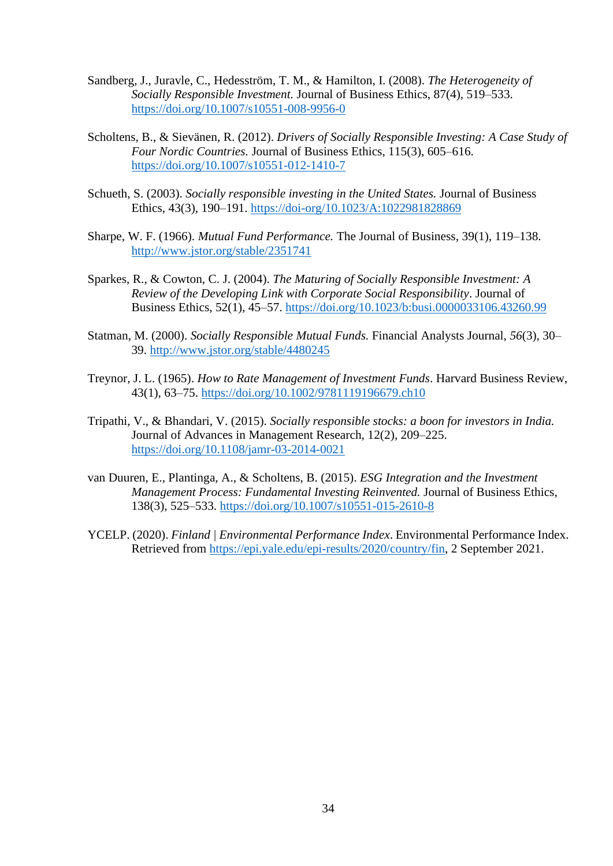- Sandberg, J., Juravle, C., Hedesström, T. M., & Hamilton, I. (2008). *The Heterogeneity of Socially Responsible Investment.* Journal of Business Ethics, 87(4), 519–533. <https://doi.org/10.1007/s10551-008-9956-0>
- Scholtens, B., & Sievänen, R. (2012). *Drivers of Socially Responsible Investing: A Case Study of Four Nordic Countries.* Journal of Business Ethics, 115(3), 605–616. <https://doi.org/10.1007/s10551-012-1410-7>
- Schueth, S. (2003). *Socially responsible investing in the United States.* Journal of Business Ethics, 43(3), 190–191. <https://doi-org/10.1023/A:1022981828869>
- Sharpe, W. F. (1966). *Mutual Fund Performance.* The Journal of Business, 39(1), 119–138. <http://www.jstor.org/stable/2351741>
- Sparkes, R., & Cowton, C. J. (2004). *The Maturing of Socially Responsible Investment: A Review of the Developing Link with Corporate Social Responsibility*. Journal of Business Ethics, 52(1), 45–57.<https://doi.org/10.1023/b:busi.0000033106.43260.99>
- Statman, M. (2000). *Socially Responsible Mutual Funds.* Financial Analysts Journal, *56*(3), 30– 39.<http://www.jstor.org/stable/4480245>
- Treynor, J. L. (1965). *How to Rate Management of Investment Funds*. Harvard Business Review, 43(1), 63–75.<https://doi.org/10.1002/9781119196679.ch10>
- Tripathi, V., & Bhandari, V. (2015). *Socially responsible stocks: a boon for investors in India.* Journal of Advances in Management Research, 12(2), 209–225. <https://doi.org/10.1108/jamr-03-2014-0021>
- van Duuren, E., Plantinga, A., & Scholtens, B. (2015). *ESG Integration and the Investment Management Process: Fundamental Investing Reinvented.* Journal of Business Ethics, 138(3), 525–533.<https://doi.org/10.1007/s10551-015-2610-8>
- YCELP. (2020). *Finland | Environmental Performance Index*. Environmental Performance Index. Retrieved from [https://epi.yale.edu/epi-results/2020/country/fin,](https://epi.yale.edu/epi-results/2020/country/fin) 2 September 2021.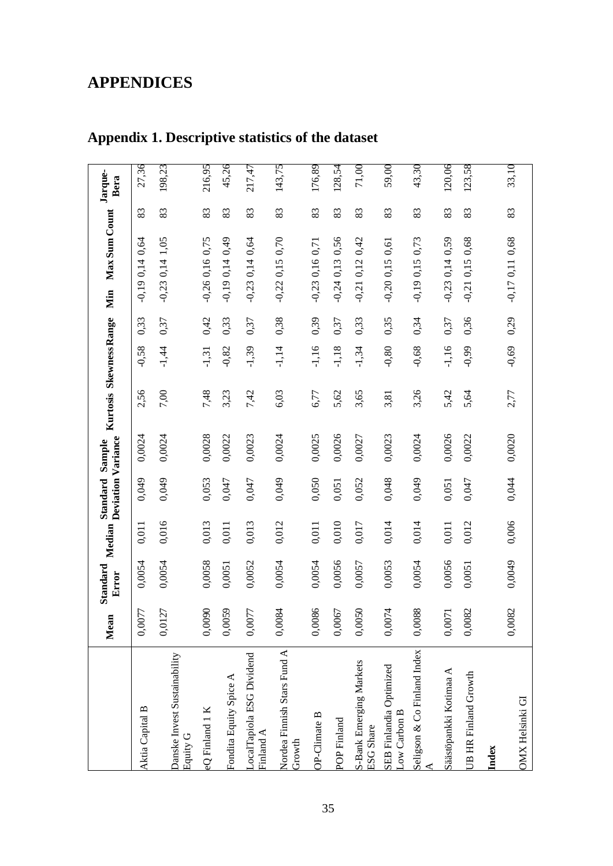# <span id="page-34-0"></span>**APPENDICES**

|                                          | Mean   | Standard<br>Error | Median | <b>Deviation Variance</b><br>Standard | Sample | Kurtosis Skewness Range |         |      | Max Sum Count<br>Min    |    | Jarque-<br>Bera |
|------------------------------------------|--------|-------------------|--------|---------------------------------------|--------|-------------------------|---------|------|-------------------------|----|-----------------|
| Aktia Capital B                          | 0,0077 | 0,0054            | 0,011  | 0,049                                 | 0,0024 | 2,56                    | $-0,58$ | 0,33 | $-0.190,140,64$         | 83 | 27,36           |
| Danske Invest Sustainability<br>Equity G | 0,0127 | 0,0054            | 0,016  | 0,049                                 | 0,0024 | 7,00                    | $-1,44$ | 0,37 | $-0.23$ 0,14 1,05       | 83 | 198,23          |
| eQ Finland 1 K                           | 0,0090 | 0,0058            | 0,013  | 0,053                                 | 0,0028 | 7,48                    | $-1,31$ | 0,42 | $-0,26$ 0,16 0,75       | 83 | 216,95          |
| Fondita Equity Spice A                   | 0,0059 | 0,0051            | 0,011  | 0,047                                 | 0,0022 | 3,23                    | $-0,82$ | 0,33 | 0,49<br>0,14<br>$-0,19$ | 83 | 45,26           |
| LocalTapiola ESG Dividend<br>Finland A   | 0,0077 | 0,0052            | 0,013  | 0,047                                 | 0,0023 | 7,42                    | $-1,39$ | 0,37 | $-0.23$ 0.14 0.64       | 83 | 217,47          |
| Nordea Finnish Stars Fund A<br>Growth    | 0,0084 | 0,0054            | 0,012  | 0,049                                 | 0,0024 | 6,03                    | $-1,14$ | 0,38 | $-0,22,0,15,0,70$       | 83 | 143,75          |
| OP-Climate B                             | 0,0086 | 0,0054            | 0,011  | 0,050                                 | 0,0025 | 6,77                    | $-1,16$ | 0,39 | $-0.23$ 0,16 0,71       | 83 | 176,89          |
| POP Finland                              | 0,0067 | 0,0056            | 0,010  | 0,051                                 | 0,0026 | 5,62                    | $-1,18$ | 0,37 | $-0.24$ 0,13 0,56       | 83 | 128,54          |
| S-Bank Emerging Markets<br>ESG Share     | 0,0050 | 0,0057            | 0,017  | 0,052                                 | 0,0027 | 3,65                    | $-1,34$ | 0,33 | 0,42<br>0,12<br>$-0,21$ | 83 | 71,00           |
| SEB Finlandia Optimized<br>Low Carbon B  | 0,0074 | 0,0053            | 0,014  | 0,048                                 | 0,0023 | 3,81                    | $-0,80$ | 0,35 | $-0,20$ 0,15 0,61       | 83 | 59,00           |
| Seligson & Co Finland Index              | 0,0088 | 0,0054            | 0,014  | 0,049                                 | 0,0024 | 3,26                    | $-0,68$ | 0,34 | $-0,19$ 0,15 0,73       | 83 | 43,30           |
| Säästöpankki Kotimaa A                   | 0,0071 | 0,0056            | 0,011  | 0,051                                 | 0,0026 | 5,42                    | $-1,16$ | 0,37 | $-0.23$ 0,14 0,59       | 83 | 120,06          |
| UB HR Finland Growth                     | 0,0082 | 0,0051            | 0,012  | 0,047                                 | 0,0022 | 5,64                    | $66'0-$ | 0,36 | 0,68<br>0,15<br>$-0,21$ | 83 | 123,58          |
| Index                                    |        |                   |        |                                       |        |                         |         |      |                         |    |                 |
| <b>OMX Helsinki GI</b>                   | 0,0082 | 0,0049            | 0,006  | 0,044                                 | 0,0020 | 2,77                    | $-0,69$ | 0,29 | $-0.17$ 0.11 0.68       | 83 | 33,10           |

# <span id="page-34-1"></span>**Appendix 1. Descriptive statistics of the dataset**